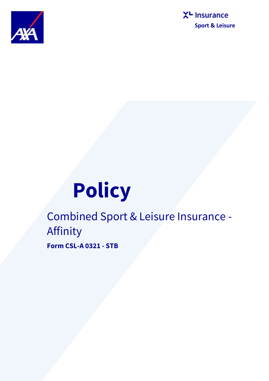



# **Policy**

Combined Sport & Leisure Insurance - Affinity **Form CSL-A 0321 - STB**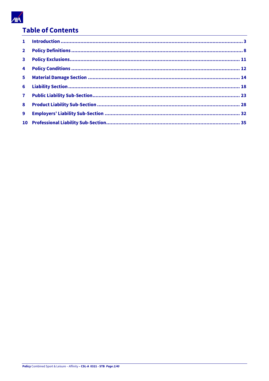

# **Table of Contents**

| $2^{\circ}$    |  |
|----------------|--|
| 3 <sup>7</sup> |  |
|                |  |
|                |  |
|                |  |
|                |  |
|                |  |
| 9              |  |
|                |  |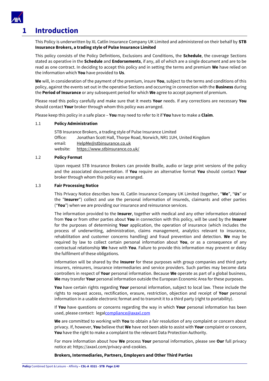

# <span id="page-2-0"></span>**1 Introduction**

This Policy is underwritten by XL Catlin Insurance Company UK Limited and administered on their behalf by **STB Insurance Brokers, a trading style of Pulse Insurance Limited** 

This policy consists of the Policy Definitions, Exclusions and Conditions, the **Schedule**, the coverage Sections stated as operative in the **Schedule** and **Endorsements**, if any, all of which are a single document and are to be read as one contract. In deciding to accept this policy and in setting the terms and premium **We** have relied on the information which **You** have provided to **Us**.

**We** will, in consideration of the payment of the premium, insure **You**, subject to the terms and conditions of this policy, against the events set out in the operative Sections and occurring in connection with the **Business** during the **Period of Insurance** or any subsequent period for which **We** agree to accept payment of premium.

Please read this policy carefully and make sure that it meets **Your** needs. If any corrections are necessary **You**  should contact **Your** broker through whom this policy was arranged.

Please keep this policy in a safe place – **You** may need to refer to it if **You** have to make a **Claim**.

# 1.1 **Policy Administration**

STB Insurance Brokers, a trading style of Pulse Insurance Limited Office: Jonathan Scott Hall, Thorpe Road, Norwich, NR1 1UH, United Kingdom email: [HelpMe@stbinsurance.co.uk](mailto:helpme@stbinsurance.co.uk) website: <https://www.stbinsurance.co.uk/>

# 1.2 **Policy Format**

Upon request STB Insurance Brokers can provide Braille, audio or large print versions of the policy and the associated documentation. If **You** require an alternative format **You** should contact **Your**  broker through whom this policy was arranged.

# 1.3 **Fair Processing Notice**

This Privacy Notice describes how XL Catlin Insurance Company UK Limited (together, "**We**", "**Us**" or the "**Insurer**") collect and use the personal information of insureds, claimants and other parties ("**You**") when we are providing our insurance and reinsurance services.

The information provided to the **Insurer**, together with medical and any other information obtained from **You** or from other parties about **You** in connection with this policy, will be used by the **Insurer** for the purposes of determining **Your** application, the operation of insurance (which includes the process of underwriting, administration, claims management, analytics relevant to insurance, rehabilitation and customer concerns handling) and fraud prevention and detection. **We** may be required by law to collect certain personal information about **You**, or as a consequence of any contractual relationship **We** have with **You**. Failure to provide this information may prevent or delay the fulfilment of these obligations.

Information will be shared by the **Insurer** for these purposes with group companies and third party insurers, reinsurers, insurance intermediaries and service providers. Such parties may become data controllers in respect of **Your** personal information. Because **We** operate as part of a global business, **We** may transfer **Your** personal information outside the European Economic Area for these purposes.

**You** have certain rights regarding **Your** personal information, subject to local law. These include the rights to request access, rectification, erasure, restriction, objection and receipt of **Your** personal information in a usable electronic format and to transmit it to a third party (right to portability).

If **You** have questions or concerns regarding the way in which **Your** personal information has been used, please contact: lega[lcompliance@axaxl.com](mailto:compliance@axaxl.com)

**We** are committed to working with **You** to obtain a fair resolution of any complaint or concern about privacy. If, however, **You** believe that **We** have not been able to assist with **Your** complaint or concern, **You** have the right to make a complaint to the relevant Data Protection Authority.

For more information about how **We** process **Your** personal information, please see **Our** full privacy notice at: https://axaxl.com/privacy-and-cookies.

# **Brokers, Intermediaries, Partners, Employers and Other Third Parties**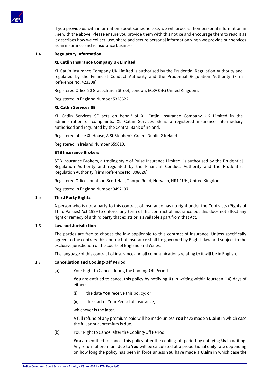

If you provide us with information about someone else, we will process their personal information in line with the above. Please ensure you provide them with this notice and encourage them to read it as it describes how we collect, use, share and secure personal information when we provide our services as an insurance and reinsurance business.

#### 1.4 **Regulatory Information**

# **XL Catlin Insurance Company UK Limited**

XL Catlin Insurance Company UK Limited is authorised by the Prudential Regulation Authority and regulated by the Financial Conduct Authority and the Prudential Regulation Authority (Firm Reference No. 423308).

Registered Office 20 Gracechurch Street, London, EC3V 0BG United Kingdom.

Registered in England Number 5328622.

# **XL Catlin Services SE**

XL Catlin Services SE acts on behalf of XL Catlin Insurance Company UK Limited in the administration of complaints. XL Catlin Services SE is a registered insurance intermediary authorised and regulated by the Central Bank of Ireland.

Registered office XL House, 8 St Stephen's Green, Dublin 2 Ireland.

Registered in Ireland Number 659610.

#### **STB Insurance Brokers**

STB Insurance Brokers, a trading style of Pulse Insurance Limited is authorised by the Prudential Regulation Authority and regulated by the Financial Conduct Authority and the Prudential Regulation Authority (Firm Reference No. 308626).

Registered Office Jonathan Scott Hall, Thorpe Road, Norwich, NR1 1UH, United Kingdom

Registered in England Number 3492137.

# 1.5 **Third Party Rights**

A person who is not a party to this contract of insurance has no right under the Contracts (Rights of Third Parties) Act 1999 to enforce any term of this contract of insurance but this does not affect any right or remedy of a third party that exists or is available apart from that Act.

# 1.6 **Law and Jurisdiction**

The parties are free to choose the law applicable to this contract of insurance. Unless specifically agreed to the contrary this contract of insurance shall be governed by English law and subject to the exclusive jurisdiction of the courts of England and Wales.

The language of this contract of insurance and all communications relating to it will be in English.

# 1.7 **Cancellation and Cooling-Off Period**

(a) Your Right to Cancel during the Cooling-Off Period

**You** are entitled to cancel this policy by notifying **Us** in writing within fourteen (14) days of either:

- (i) the date **You** receive this policy; or
- (ii) the start of Your Period of Insurance;

whichever is the later.

A full refund of any premium paid will be made unless **You** have made a **Claim** in which case the full annual premium is due.

(b) Your Right to Cancel after the Cooling-Off Period

**You** are entitled to cancel this policy after the cooling-off period by notifying **Us** in writing. Any return of premium due to **You** will be calculated at a proportional daily rate depending on how long the policy has been in force unless **You** have made a **Claim** in which case the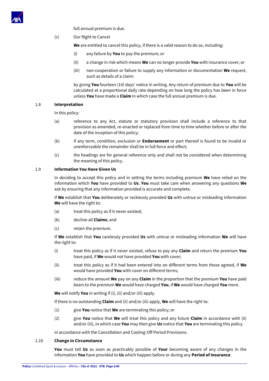

full annual premium is due.

(c) Our Right to Cancel

**We** are entitled to cancel this policy, if there is a valid reason to do so, including:

- (i) any failure by **You** to pay the premium; or
- (ii) a change in risk which means **We** can no longer provide **You** with insurance cover; or
- (iii) non-cooperation or failure to supply any information or documentation **We** request, such as details of a claim:

by giving **You** fourteen (14) days' notice in writing. Any return of premium due to **You** will be calculated at a proportional daily rate depending on how long the policy has been in force unless **You** have made a **Claim** in which case the full annual premium is due.

# 1.8 **Interpretation**

In this policy:

- (a) reference to any Act, statute or statutory provision shall include a reference to that provision as amended, re-enacted or replaced from time to time whether before or after the date of the inception of this policy;
- (b) if any term, condition, exclusion or **Endorsement** or part thereof is found to be invalid or unenforceable the remainder shall be in full force and effect;
- (c) the headings are for general reference only and shall not be considered when determining the meaning of this policy.

# 1.9 **Information You Have Given Us**

In deciding to accept this policy and in setting the terms including premium **We** have relied on the information which **You** have provided to **Us**. **You** must take care when answering any questions **We** ask by ensuring that any information provided is accurate and complete.

If **We** establish that **You** deliberately or recklessly provided **Us** with untrue or misleading information **We** will have the right to:

- (a) treat this policy as if it never existed;
- (b) decline all **Claims**; and
- (c) retain the premium.

If **We** establish that **You** carelessly provided **Us** with untrue or misleading information **We** will have the right to:

- (i) treat this policy as if it never existed, refuse to pay any **Claim** and return the premium **You** have paid, if **We** would not have provided **You** with cover;
- (ii) treat this policy as if it had been entered into on different terms from those agreed, if **We** would have provided **You** with cover on different terms;
- (iii) reduce the amount **We** pay on any **Claim** in the proportion that the premium **You** have paid bears to the premium **We** would have charged **You**, if **We** would have charged **You** more.

**We** will notify **You** in writing if (i), (ii) and/or (iii) apply.

If there is no outstanding **Claim** and (ii) and/or (iii) apply, **We** will have the right to:

- (1) give **You** notice that **We** are terminating this policy; or
- (2) give **You** notice that **We** will treat this policy and any future **Claim** in accordance with (ii) and/or (iii), in which case **You** may then give **Us** notice that **You** are terminating this policy.

in accordance with the Cancellation and Cooling-Off Period Provisions.

# 1.10 **Change in Circumstance**

**You** must tell **Us** as soon as practicably possible of **Your** becoming aware of any changes in the information **You** have provided to **Us** which happen before or during any **Period of Insurance**.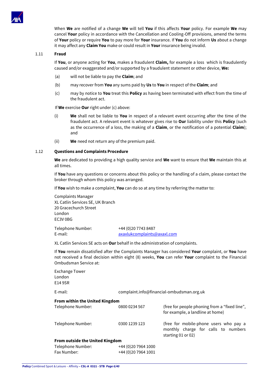

When **We** are notified of a change **We** will tell **You** if this affects **Your** policy. For example **We** may cancel **Your** policy in accordance with the Cancellation and Cooling-Off provisions, amend the terms of **Your** policy or require **You** to pay more for **Your** insurance. If **You** do not inform **Us** about a change it may affect any **Claim You** make or could result in **Your** insurance being invalid.

#### 1.11 **Fraud**

If **You**, or anyone acting for **You**, makes a fraudulent **Claim,** for example a loss which is fraudulently caused and/or exaggerated and/or supported by a fraudulent statement or other device, **We:**

- (a) will not be liable to pay the **Claim**; and
- (b) may recover from **You** any sums paid by **Us** to **You** in respect of the **Claim**; and
- (c) may by notice to **You** treat this **Policy** as having been terminated with effect from the time of the fraudulent act.

If **We** exercise **Our** right under (c) above:

- (i) **We** shall not be liable to **You** in respect of a relevant event occurring after the time of the fraudulent act. A relevant event is whatever gives rise to **Our** liability under this **Policy** (such as the occurrence of a loss, the making of a **Claim**, or the notification of a potential **Claim**); and
- (ii) **We** need not return any of the premium paid.

#### 1.12 **Questions and Complaints Procedure**

**We** are dedicated to providing a high quality service and **We** want to ensure that **We** maintain this at all times.

If **You** have any questions or concerns about this policy or the handling of a claim, please contact the broker through whom this policy was arranged.

If **You** wish to make a complaint, **You** can do so at any time by referring the matter to:

Complaints Manager XL Catlin Services SE, UK Branch 20 Gracechurch Street London EC3V 0BG

Telephone Number: +44 (0)20 7743 8487

E-mail: axaxlukcomplaints@axaxl.com

XL Catlin Services SE acts on **Our** behalf in the administration of complaints.

If **You** remain dissatisfied after the Complaints Manager has considered **Your** complaint, or **You** have not received a final decision within eight (8) weeks, **You** can refer **Your** complaint to the Financial Ombudsman Service at:

| <b>Exchange Tower</b><br>London<br>E14 9SR |                                           |                                                                                                         |
|--------------------------------------------|-------------------------------------------|---------------------------------------------------------------------------------------------------------|
| E-mail:                                    | complaint.info@financial-ombudsman.org.uk |                                                                                                         |
| <b>From within the United Kingdom</b>      |                                           |                                                                                                         |
| Telephone Number:                          | 0800 0234 567                             | (free for people phoning from a "fixed line",<br>for example, a landline at home)                       |
| Telephone Number:                          | 0300 1239 123                             | (free for mobile-phone users who pay a<br>monthly charge for calls to numbers<br>starting $01$ or $02)$ |
| <b>From outside the United Kingdom</b>     |                                           |                                                                                                         |
| Telephone Number:                          | +44 (0) 20 7964 1000                      |                                                                                                         |
| Fax Number:                                | +44 (0) 20 7964 1001                      |                                                                                                         |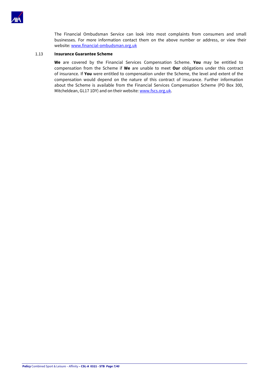

The Financial Ombudsman Service can look into most complaints from consumers and small businesses. For more information contact them on the above number or address, or view their website[: www.financial-ombudsman.org.uk](http://www.financial-ombudsman.org.uk/)

#### 1.13 **Insurance Guarantee Scheme**

**We** are covered by the Financial Services Compensation Scheme. **You** may be entitled to compensation from the Scheme if **We** are unable to meet **Our** obligations under this contract of insurance. If **You** were entitled to compensation under the Scheme, the level and extent of the compensation would depend on the nature of this contract of insurance. Further information about the Scheme is available from the Financial Services Compensation Scheme (PO Box 300, Mitcheldean, GL17 1DY) and on their website: [www.fscs.org.uk.](http://www.fscs.org.uk/)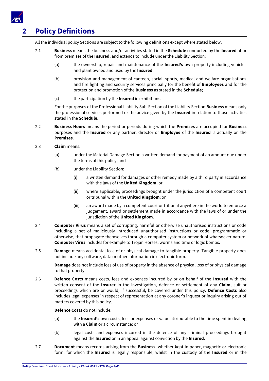

# <span id="page-7-0"></span>**2 Policy Definitions**

All the individual policy Sections are subject to the following definitions except where stated below.

- 2.1 **Business** means the business and/or activities stated in the **Schedule** conducted by the **Insured** at or from premises of the **Insured**, and extends to include under the Liability Section:
	- (a) the ownership, repair and maintenance of the **Insured's** own property including vehicles and plant owned and used by the **Insured**;
	- (b) provision and management of canteen, social, sports, medical and welfare organisations and fire fighting and security services principally for the benefit of **Employees** and for the protection and promotion of the **Business** as stated in the **Schedule**;
	- (c) the participation by the **Insured** in exhibitions.

For the purposes of the Professional Liability Sub-Section of the Liability Section **Business** means only the professional services performed or the advice given by the **Insured** in relation to those activities stated in the **Schedule**.

- 2.2 **Business Hours** means the period or periods during which the **Premises** are occupied for **Business** purposes and the **Insured** or any partner, director or **Employee** of the **Insured** is actually on the **Premises**.
- 2.3 **Claim** means:
	- (a) under the Material Damage Section a written demand for payment of an amount due under the terms of this policy; and
	- (b) under the Liability Section:
		- (i) a written demand for damages or other remedy made by a third party in accordance with the laws of the **United Kingdom**; or
		- (ii) where applicable, proceedings brought under the jurisdiction of a competent court or tribunal within the **United Kingdom**; or
		- (iii) an award made by a competent court or tribunal anywhere in the world to enforce a judgement, award or settlement made in accordance with the laws of or under the jurisdiction of the **United Kingdom**.
- 2.4 **Computer Virus** means a set of corrupting, harmful or otherwise unauthorised instructions or code including a set of maliciously introduced unauthorised instructions or code, programmatic or otherwise, that propagate themselves through a computer system or network of whatsoever nature. **Computer Virus** includes for example to Trojan Horses, worms and time or logic bombs.
- 2.5 **Damage** means accidental loss of or physical damage to tangible property. Tangible property does not include any software, data or other information in electronic form.

**Damage** does not include loss of use of property in the absence of physical loss of or physical damage to that property.

2.6 **Defence Costs** means costs, fees and expenses incurred by or on behalf of the **Insured** with the written consent of the **Insurer** in the investigation, defence or settlement of any **Claim**, suit or proceedings which are or would, if successful, be covered under this policy. **Defence Costs** also includes legal expenses in respect of representation at any coroner's inquest or inquiry arising out of matters covered by this policy.

# **Defence Costs** do not include:

- (a) the **Insured's** own costs, fees or expenses or value attributable to the time spent in dealing with a **Claim** or a circumstance; or
- (b) legal costs and expenses incurred in the defence of any criminal proceedings brought against the **Insured** or in an appeal against conviction by the **Insured**.
- 2.7 **Document** means records arising from the **Business**, whether kept in paper, magnetic or electronic form, for which the **Insured** is legally responsible, whilst in the custody of the **Insured** or in the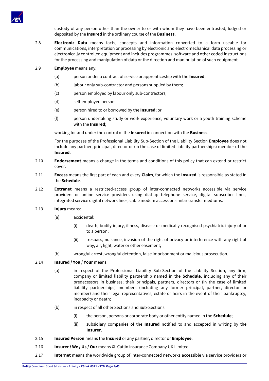

custody of any person other than the owner to or with whom they have been entrusted, lodged or deposited by the **Insured** in the ordinary course of the **Business**.

2.8 **Electronic Data** means facts, concepts and information converted to a form useable for communications, interpretation or processing by electronic and electromechanical data processing or electronically controlled equipment and includes programmes, software and other coded instructions for the processing and manipulation of data or the direction and manipulation of such equipment.

# 2.9 **Employee** means any:

- (a) person under a contract of service or apprenticeship with the **Insured**;
- (b) labour only sub-contractor and persons supplied by them;
- (c) person employed by labour only sub-contractors;
- (d) self-employed person;
- (e) person hired to or borrowed by the **Insured**; or
- (f) person undertaking study or work experience, voluntary work or a youth training scheme with the **Insured**;

working for and under the control of the **Insured** in connection with the **Business**.

For the purposes of the Professional Liability Sub-Section of the Liability Section **Employee** does not include any partner, principal, director or (in the case of limited liability partnerships) member of the **Insured**.

- 2.10 **Endorsement** means a change in the terms and conditions of this policy that can extend or restrict cover.
- 2.11 **Excess** means the first part of each and every **Claim**, for which the **Insured** is responsible as stated in the **Schedule**.
- 2.12 **Extranet** means a restricted-access group of inter-connected networks accessible via service providers or online service providers using dial-up telephone service, digital subscriber lines, integrated service digital network lines, cable modem access or similar transfer mediums.
- 2.13 **Injury** means:
	- (a) accidental:
		- (i) death, bodily injury, illness, disease or medically recognised psychiatric injury of or to a person;
		- (ii) trespass, nuisance, invasion of the right of privacy or interference with any right of way, air, light, water or other easement;
	- (b) wrongful arrest, wrongful detention, false imprisonment or malicious prosecution.

# 2.14 **Insured / You / Your** means:

- (a) in respect of the Professional Liability Sub-Section of the Liability Section, any firm, company or limited liability partnership named in the **Schedule**, including any of their predecessors in business; their principals, partners, directors or (in the case of limited liability partnerships) members (including any former principal, partner, director or member) and their legal representatives, estate or heirs in the event of their bankruptcy, incapacity or death;
- (b) in respect of all other Sections and Sub-Sections:
	- (i) the person, persons or corporate body or other entity named in the **Schedule**;
	- (ii) subsidiary companies of the **Insured** notified to and accepted in writing by the **Insurer**.
- 2.15 **Insured Person** means the **Insured** or any partner, director or **Employee**.
- 2.16 **Insurer / We / Us / Our** means XL Catlin Insurance Company UK Limited .
- 2.17 **Internet** means the worldwide group of inter-connected networks accessible via service providers or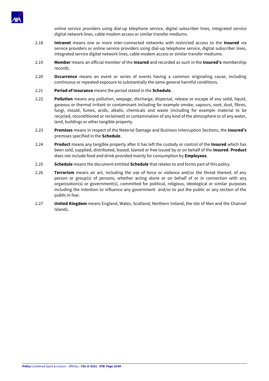

online service providers using dial-up telephone service, digital subscriber lines, integrated service digital network lines, cable modem access or similar transfer mediums.

- 2.18 **Intranet** means one or more inter-connected networks with restricted access to the **Insured** via service providers or online service providers using dial-up telephone service, digital subscriber lines, integrated service digital network lines, cable modem access or similar transfer mediums.
- 2.19 **Member** means an official member of the **Insured** and recorded as such in the **Insured's** membership records.
- 2.20 **Occurrence** means an event or series of events having a common originating cause, including continuous or repeated exposure to substantially the same general harmful conditions.
- 2.21 **Period of Insurance** means the period stated in the **Schedule**.
- 2.22 **Pollution** means any pollution, seepage, discharge, dispersal, release or escape of any solid, liquid, gaseous or thermal irritant or contaminant including for example smoke, vapours, soot, dust, fibres, fungi, mould, fumes, acids, alkalis, chemicals and waste (including for example material to be recycled, reconditioned or reclaimed) or contamination of any kind of the atmosphere or of any water, land, buildings or other tangible property.
- 2.23 **Premises** means in respect of the Material Damage and Business Interruption Sections, the **Insured's** premises specified in the **Schedule**.
- 2.24 **Product** means any tangible property after it has left the custody or control of the **Insured** which has been sold, supplied, distributed, leased, loaned or free issued by or on behalf of the **Insured**. **Product** does not include food and drink provided mainly for consumption by **Employees**.
- 2.25 **Schedule** means the document entitled **Schedule** that relates to and forms part of this policy.
- 2.26 **Terrorism** means an act, including the use of force or violence and/or the threat thereof, of any person or group(s) of persons, whether acting alone or on behalf of or in connection with any organisation(s) or government(s), committed for political, religious, ideological or similar purposes including the intention to influence any government and/or to put the public or any section of the public in fear.
- 2.27 **United Kingdom** means England, Wales, Scotland, Northern Ireland, the Isle of Man and the Channel Islands.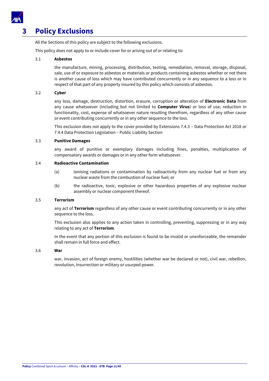

# <span id="page-10-0"></span>**3 Policy Exclusions**

All the Sections of this policy are subject to the following exclusions.

This policy does not apply to or include cover for or arising out of or relating to:

# 3.1 **Asbestos**

the manufacture, mining, processing, distribution, testing, remediation, removal, storage, disposal, sale, use of or exposure to asbestos or materials or products containing asbestos whether or not there is another cause of loss which may have contributed concurrently or in any sequence to a loss or in respect of that part of any property insured by this policy which consists of asbestos.

# 3.2 **Cyber**

any loss, damage, destruction, distortion, erasure, corruption or alteration of **Electronic Data** from any cause whatsoever (including but not limited to **Computer Virus**) or loss of use, reduction in functionality, cost, expense of whatsoever nature resulting therefrom, regardless of any other cause or event contributing concurrently or in any other sequence to the loss.

This exclusion does not apply to the cover provided by Extensions 7.4.3 – Data Protection Act 2018 or 7.4.4 Data Protection Legislation – Public Liability Section

# 3.3 **Punitive Damages**

any award of punitive or exemplary damages including fines, penalties, multiplication of compensatory awards or damages or in any other form whatsoever.

# 3.4 **Radioactive Contamination**

- (a) ionising radiations or contamination by radioactivity from any nuclear fuel or from any nuclear waste from the combustion of nuclear fuel; or
- (b) the radioactive, toxic, explosive or other hazardous properties of any explosive nuclear assembly or nuclear component thereof.

# 3.5 **Terrorism**

any act of **Terrorism** regardless of any other cause or event contributing concurrently or in any other sequence to the loss.

This exclusion also applies to any action taken in controlling, preventing, suppressing or in any way relating to any act of **Terrorism**.

In the event that any portion of this exclusion is found to be invalid or unenforceable, the remainder shall remain in full force and effect.

# 3.6 **War**

war, invasion, act of foreign enemy, hostilities (whether war be declared or not), civil war, rebellion, revolution, insurrection or military or usurped power.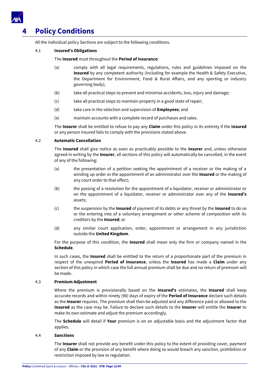

# <span id="page-11-0"></span>**4 Policy Conditions**

All the individual policy Sections are subject to the following conditions.

# 4.1 **Insured's Obligations**

# The **Insured** must throughout the **Period of Insurance**:

- (a) comply with all legal requirements, regulations, rules and guidelines imposed on the **Insured** by any competent authority (including for example the Health & Safety Executive, the Department for Environment, Food & Rural Affairs, and any sporting or industry governing body);
- (b) take all practical steps to prevent and minimise accidents, loss, injury and damage;
- (c) take all practical steps to maintain property in a good state of repair;
- (d) take care in the selection and supervision of **Employees**; and
- (e) maintain accounts with a complete record of purchases and sales.

The **Insurer** shall be entitled to refuse to pay any **Claim** under this policy in its entirety if the **Insured** or any person insured fails to comply with the provisions stated above.

# 4.2 **Automatic Cancellation**

The **Insured** shall give notice as soon as practicably possible to the **Insurer** and, unless otherwise agreed in writing by the **Insurer**, all sections of this policy will automatically be cancelled, in the event of any of the following:

- (a) the presentation of a petition seeking the appointment of a receiver or the making of a winding up order or the appointment of an administrator over the **Insured** or the making of any court order to that effect;
- (b) the passing of a resolution for the appointment of a liquidator, receiver or administrator or on the appointment of a liquidator, receiver or administrator over any of the **Insured's** assets;
- (c) the suspension by the **Insured** of payment of its debts or any threat by the **Insured** to do so or the entering into of a voluntary arrangement or other scheme of composition with its creditors by the **Insured**; or
- (d) any similar court application, order, appointment or arrangement in any jurisdiction outside the **United Kingdom**.

For the purpose of this condition, the **Insured** shall mean only the firm or company named in the **Schedule**.

In such cases, the **Insured** shall be entitled to the return of a proportionate part of the premium in respect of the unexpired **Period of Insurance**, unless the **Insured** has made a **Claim** under any section of this policy in which case the full annual premium shall be due and no return of premium will be made.

# 4.3 **Premium Adjustment**

Where the premium is provisionally based on the **Insured's** estimates, the **Insured** shall keep accurate records and within ninety (90) days of expiry of the **Period of Insurance** declare such details as the **Insurer** requires. The premium shall then be adjusted and any difference paid or allowed to the **Insured** as the case may be. Failure to declare such details to the **Insurer** will entitle the **Insurer** to make its own estimate and adjust the premium accordingly.

The **Schedule** will detail if **Your** premium is on an adjustable basis and the adjustment factor that applies.

# 4.4 **Sanctions**

The **Insurer** shall not provide any benefit under this policy to the extent of providing cover, payment of any **Claim** or the provision of any benefit where doing so would breach any sanction, prohibition or restriction imposed by law or regulation.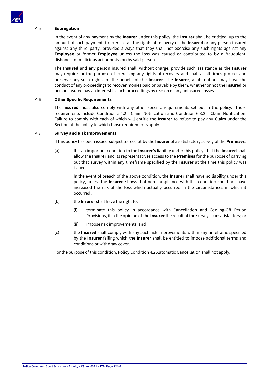

# 4.5 **Subrogation**

In the event of any payment by the **Insurer** under this policy, the **Insurer** shall be entitled, up to the amount of such payment, to exercise all the rights of recovery of the **Insured** or any person insured against any third party, provided always that they shall not exercise any such rights against any **Employee** or former **Employee** unless the loss was caused or contributed to by a fraudulent, dishonest or malicious act or omission by said person.

The **Insured** and any person insured shall, without charge, provide such assistance as the **Insurer** may require for the purpose of exercising any rights of recovery and shall at all times protect and preserve any such rights for the benefit of the **Insurer**. The **Insurer**, at its option, may have the conduct of any proceedings to recover monies paid or payable by them, whether or not the **Insured** or person insured has an interest in such proceedings by reason of any uninsured losses.

#### 4.6 **Other Specific Requirements**

The **Insured** must also comply with any other specific requirements set out in the policy. Those requirements include Condition 5.4.2 - Claim Notification and Condition 6.3.2 – Claim Notification. Failure to comply with each of which will entitle the **Insurer** to refuse to pay any **Claim** under the Section of the policy to which those requirements apply.

#### 4.7 **Survey and Risk Improvements**

If this policy has been issued subject to receipt by the **Insurer** of a satisfactory survey of the **Premises**:

(a) It is an important condition to the **Insurer's** liability under this policy, that the **Insured** shall allow the **Insurer** and its representatives access to the **Premises** for the purpose of carrying out that survey within any timeframe specified by the **Insurer** at the time this policy was issued.

In the event of breach of the above condition, the **Insurer** shall have no liability under this policy, unless the **Insured** shows that non-compliance with this condition could not have increased the risk of the loss which actually occurred in the circumstances in which it occurred;

- (b) the **Insurer** shall have the right to:
	- (i) terminate this policy in accordance with Cancellation and Cooling-Off Period Provisions, if in the opinion of the **Insurer** the result of the survey is unsatisfactory; or
	- (ii) impose risk improvements; and
- (c) the **Insured** shall comply with any such risk improvements within any timeframe specified by the **Insurer** failing which the **Insurer** shall be entitled to impose additional terms and conditions or withdraw cover.

For the purpose of this condition, Policy Condition 4.2 Automatic Cancellation shall not apply.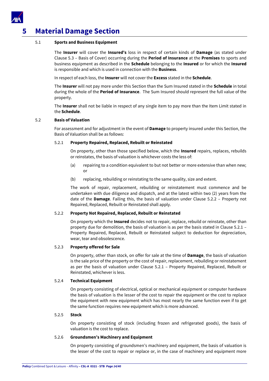

# <span id="page-13-0"></span>**5 Material Damage Section**

# 5.1 **Sports and Business Equipment**

The **Insurer** will cover the **Insured's** loss in respect of certain kinds of **Damage** (as stated under Clause 5.3 – Basis of Cover) occurring during the **Period of Insurance** at the **Premises** to sports and business equipment as described in the **Schedule** belonging to the **Insured** or for which the **Insured** is responsible and which is used in connection with the **Business**.

In respect of each loss, the **Insurer** will not cover the **Excess** stated in the **Schedule**.

The **Insurer** will not pay more under this Section than the Sum Insured stated in the **Schedule** in total during the whole of the **Period of Insurance**. The Sum Insured should represent the full value of the property.

The **Insurer** shall not be liable in respect of any single item to pay more than the Item Limit stated in the **Schedule**.

#### 5.2 **Basis of Valuation**

For assessment and for adjustment in the event of **Damage** to property insured under this Section, the Basis of Valuation shall be as follows:

# 5.2.1 **Property Repaired, Replaced, Rebuilt or Reinstated**

On property, other than those specified below, which the **Insured** repairs, replaces, rebuilds or reinstates, the basis of valuation is whichever costs the less of:

- (a) repairing to a condition equivalent to but not better or more extensive than when new; or
- (b) replacing, rebuilding or reinstating to the same quality, size and extent.

The work of repair, replacement, rebuilding or reinstatement must commence and be undertaken with due diligence and dispatch, and at the latest within two (2) years from the date of the **Damage**. Failing this, the basis of valuation under Clause 5.2.2 – Property not Repaired, Replaced, Rebuilt or Reinstated shall apply.

# 5.2.2 **Property Not Repaired, Replaced, Rebuilt or Reinstated**

On property which the **Insured** decides not to repair, replace, rebuild or reinstate, other than property due for demolition, the basis of valuation is as per the basis stated in Clause 5.2.1 – Property Repaired, Replaced, Rebuilt or Reinstated subject to deduction for depreciation, wear, tear and obsolescence.

#### 5.2.3 **Property offered for Sale**

On property, other than stock, on offer for sale at the time of **Damage**, the basis of valuation is the sale price of the property or the cost of repair, replacement, rebuilding or reinstatement as per the basis of valuation under Clause 5.2.1 – Property Repaired, Replaced, Rebuilt or Reinstated, whichever is less.

# 5.2.4 **Technical Equipment**

On property consisting of electrical, optical or mechanical equipment or computer hardware the basis of valuation is the lesser of the cost to repair the equipment or the cost to replace the equipment with new equipment which has most nearly the same function even if to get the same function requires new equipment which is more advanced.

# 5.2.5 **Stock**

On property consisting of stock (including frozen and refrigerated goods), the basis of valuation is the cost to replace.

#### 5.2.6 **Groundsmen's Machinery and Equipment**

On property consisting of groundsmen's machinery and equipment, the basis of valuation is the lesser of the cost to repair or replace or, in the case of machinery and equipment more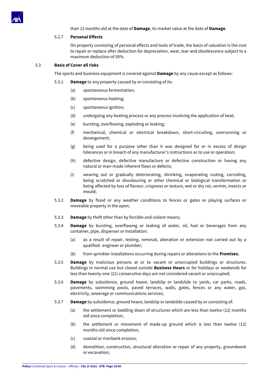

# than 12 months old at the date of **Damage**, its market value at the date of **Damage**.

# 5.2.7 **Personal Effects**

On property consisting of personal effects and tools of trade, the basis of valuation is the cost to repair or replace after deduction for depreciation, wear, tear and obsolescence subject to a maximum deduction of 50%.

# 5.3 **Basis of Cover all risks**

The sports and business equipment is covered against **Damage** by any cause except as follows:

- 5.3.1 **Damage** to any property caused by or consisting of its:
	- (a) spontaneous fermentation;
	- (b) spontaneous heating;
	- (c) spontaneous ignition;
	- (d) undergoing any heating process or any process involving the application of heat;
	- (e) bursting, overflowing, exploding or leaking;
	- (f) mechanical, chemical or electrical breakdown, short-circuiting, overrunning or derangement;
	- (g) being used for a purpose other than it was designed for or in excess of design tolerances or in breach of any manufacturer's instructions as to use or operation;
	- (h) defective design, defective manufacture or defective construction or having any natural or man-made inherent flaws or defects;
	- (i) wearing out or gradually deteriorating, shrinking, evaporating rusting, corroding, being scratched or discolouring or other chemical or biological transformation or being affected by loss of flavour, crispness or texture, wet or dry rot, vermin, insects or mould;
- 5.3.2 **Damage** by flood or any weather conditions to fences or gates or playing surfaces or moveable property in the open;
- 5.3.3 **Damage** by theft other than by forcible and violent means;
- 5.3.4 **Damage** by bursting, overflowing or leaking of water, oil, fuel or beverages from any container, pipe, dispenser or installation:
	- (a) as a result of repair, testing, removal, alteration or extension not carried out by a qualified engineer or plumber;
	- (b) from sprinkler installations occurring during repairs or alterations to the **Premises**;
- 5.3.5 **Damage** by malicious persons at or to vacant or unoccupied buildings or structures. Buildings in normal use but closed outside **Business Hours** or for holidays or weekends for less than twenty-one (21) consecutive days are not considered vacant or unoccupied;
- 5.3.6 **Damage** by subsidence, ground heave, landslip or landslide to yards, car parks, roads, pavements, swimming pools, paved terraces, walls, gates, fences or any water, gas, electricity, sewerage or communications services;
- 5.3.7 **Damage** by subsidence, ground heave, landslip or landslide caused by or consisting of:
	- (a) the settlement or bedding down of structures which are less than twelve (12) months old since completion;
	- (b) the settlement or movement of made-up ground which is less than twelve (12) months old since completion;
	- (c) coastal or riverbank erosion;
	- (d) demolition, construction, structural alteration or repair of any property, groundwork or excavation;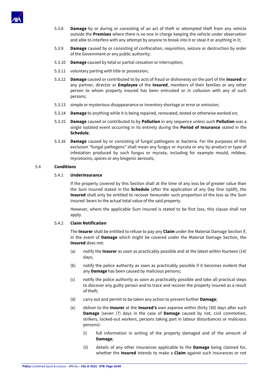

- 5.3.8 **Damage** by or during or consisting of an act of theft or attempted theft from any vehicle outside the **Premises** where there is no one in charge keeping the vehicle under observation and able to interfere with any attempt by anyone to break into it or steal it or anything in it;
- 5.3.9 **Damage** caused by or consisting of confiscation, requisition, seizure or destruction by order of the Government or any public authority;
- 5.3.10 **Damage** caused by total or partial cessation or interruption;
- 5.3.11 voluntary parting with title or possession;
- 5.3.12 **Damage** caused or contributed to by acts of fraud or dishonesty on the part of the **Insured** or any partner, director or **Employee** of the **Insured**, members of their families or any other person to whom property insured has been entrusted or in collusion with any of such persons;
- 5.3.13 simple or mysterious disappearance or inventory shortage or error or omission;
- 5.3.14 **Damage** to anything while it is being repaired, renovated, tested or otherwise worked on;
- 5.3.15 **Damage** caused or contributed to by **Pollution** in any sequence unless such **Pollution** was a single isolated event occurring in its entirety during the **Period of Insurance** stated in the **Schedule**;
- 5.3.16 **Damage** caused by or consisting of fungal pathogens or bacteria. For the purposes of this exclusion "fungal pathogens" shall mean any fungus or mycota or any by-product or type of infestation produced by such fungus or mycota, including for example mould, mildew, mycotoxins, spores or any biogenic aerosols;

# 5.4 **Conditions**

# 5.4.1 **Underinsurance**

If the property covered by this Section shall at the time of any loss be of greater value than the Sum Insured stated in the **Schedule** (after the application of any Day One Uplift), the **Insured** shall only be entitled to recover hereunder such proportion of the loss as the Sum Insured bears to the actual total value of the said property.

However, where the applicable Sum Insured is stated to be first loss, this clause shall not apply.

# 5.4.2 **Claim Notification**

The **Insurer** shall be entitled to refuse to pay any **Claim** under the Material Damage Section if, in the event of **Damage** which might be covered under the Material Damage Section, the **Insured** does not:

- (a) notify the **Insurer** as soon as practicably possible and at the latest within fourteen (14) days;
- (b) notify the police authority as soon as practicably possible if it becomes evident that any **Damage** has been caused by malicious persons;
- (c) notify the police authority as soon as practicably possible and take all practical steps to discover any guilty person and to trace and recover the property insured as a result of theft;
- (d) carry out and permit to be taken any action to prevent further **Damage**;
- (e) deliver to the **Insurer** at the **Insured's** own expense within thirty (30) days after such **Damage** (seven (7) days in the case of **Damage** caused by riot, civil commotion, strikers, locked-out workers, persons taking part in labour disturbances or malicious persons):
	- (i) full information in writing of the property damaged and of the amount of **Damage**;
	- (ii) details of any other insurances applicable to the **Damage** being claimed for, whether the **Insured** intends to make a **Claim** against such insurances or not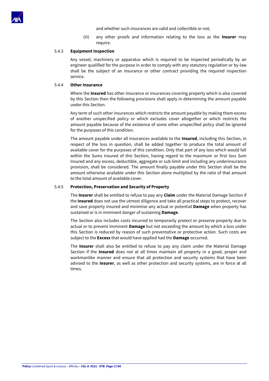

and whether such insurances are valid and collectible or not;

(iii) any other proofs and information relating to the loss as the **Insurer** may require.

#### 5.4.3 **Equipment Inspection**

Any vessel, machinery or apparatus which is required to be inspected periodically by an engineer qualified for the purpose in order to comply with any statutory regulation or by-law shall be the subject of an insurance or other contract providing the required inspection service.

#### 5.4.4 **Other Insurance**

Where the **Insured** has other insurance or insurances covering property which is also covered by this Section then the following provisions shall apply in determining the amount payable under this Section.

Any term of such other insurances which restricts the amount payable by making them excess of another unspecified policy or which excludes cover altogether or which restricts the amount payable because of the existence of some other unspecified policy shall be ignored for the purposes of this condition.

The amount payable under all insurances available to the **Insured**, including this Section, in respect of the loss in question, shall be added together to produce the total amount of available cover for the purposes of this condition. Only that part of any loss which would fall within the Sums Insured of this Section, having regard to the maximum or first loss Sum Insured and any excess, deductible, aggregate or sub-limit and including any underinsurance provision, shall be considered. The amount finally payable under this Section shall be the amount otherwise available under this Section alone multiplied by the ratio of that amount to the total amount of available cover.

# 5.4.5 **Protection, Preservation and Security of Property**

The **Insurer** shall be entitled to refuse to pay any **Claim** under the Material Damage Section if the **Insured** does not use the utmost diligence and take all practical steps to protect, recover and save property insured and minimise any actual or potential **Damage** when property has sustained or is in imminent danger of sustaining **Damage**.

The Section also includes costs incurred to temporarily protect or preserve property due to actual or to prevent imminent **Damage** but not exceeding the amount by which a loss under this Section is reduced by reason of such preventative or protective action. Such costs are subject to the **Excess** that would have applied had the **Damage** occurred.

The **Insurer** shall also be entitled to refuse to pay any claim under the Material Damage Section if the **Insured** does not at all times maintain all property in a good, proper and workmanlike manner and ensure that all protection and security systems that have been advised to the **Insurer**, as well as other protection and security systems, are in force at all times.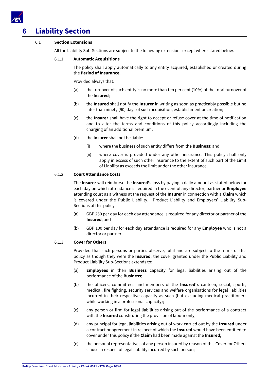

# <span id="page-17-0"></span>**6 Liability Section**

# 6.1 **Section Extensions**

All the Liability Sub-Sections are subject to the following extensions except where stated below.

# 6.1.1 **Automatic Acquisitions**

The policy shall apply automatically to any entity acquired, established or created during the **Period of Insurance**.

Provided always that:

- (a) the turnover of such entity is no more than ten per cent (10%) of the total turnover of the **Insured**;
- (b) the **Insured** shall notify the **Insurer** in writing as soon as practicably possible but no later than ninety (90) days of such acquisition, establishment or creation;
- (c) the **Insurer** shall have the right to accept or refuse cover at the time of notification and to alter the terms and conditions of this policy accordingly including the charging of an additional premium;
- (d) the **Insurer** shall not be liable:
	- (i) where the business of such entity differs from the **Business**; and
	- (ii) where cover is provided under any other insurance. This policy shall only apply in excess of such other insurance to the extent of such part of the Limit of Liability as exceeds the limit under the other insurance.

# 6.1.2 **Court Attendance Costs**

The **Insurer** will reimburse the **Insured's** loss by paying a daily amount as stated below for each day on which attendance is required in the event of any director, partner or **Employee** attending court as a witness at the request of the **Insurer** in connection with a **Claim** which is covered under the Public Liability, Product Liability and Employers' Liability Sub-Sections of this policy:

- (a) GBP 250 per day for each day attendance is required for any director or partner of the **Insured**; and
- (b) GBP 100 per day for each day attendance is required for any **Employee** who is not a director or partner.

# 6.1.3 **Cover for Others**

Provided that such persons or parties observe, fulfil and are subject to the terms of this policy as though they were the **Insured**, the cover granted under the Public Liability and Product Liability Sub-Sections extends to:

- (a) **Employees** in their **Business** capacity for legal liabilities arising out of the performance of the **Business**;
- (b) the officers, committees and members of the **Insured's** canteen, social, sports, medical, fire fighting, security services and welfare organisations for legal liabilities incurred in their respective capacity as such (but excluding medical practitioners while working in a professional capacity);
- (c) any person or firm for legal liabilities arising out of the performance of a contract with the **Insured** constituting the provision of labour only;
- (d) any principal for legal liabilities arising out of work carried out by the **Insured** under a contract or agreement in respect of which the **Insured** would have been entitled to cover under this policy if the **Claim** had been made against the **Insured**;
- (e) the personal representatives of any person insured by reason of this Cover for Others clause in respect of legal liability incurred by such person;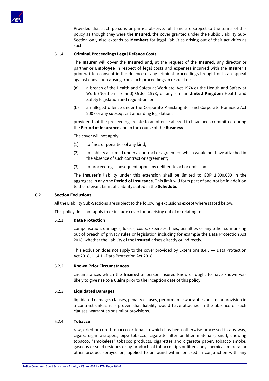

Provided that such persons or parties observe, fulfil and are subject to the terms of this policy as though they were the **Insured**, the cover granted under the Public Liability Sub-Section only also extends to **Members** for legal liabilities arising out of their activities as such.

# 6.1.4 **Criminal Proceedings Legal Defence Costs**

The **Insurer** will cover the **Insured** and, at the request of the **Insured**, any director or partner or **Employee** in respect of legal costs and expenses incurred with the **Insurer's** prior written consent in the defence of any criminal proceedings brought or in an appeal against conviction arising from such proceedings in respect of:

- (a) a breach of the Health and Safety at Work etc. Act 1974 or the Health and Safety at Work (Northern Ireland) Order 1978, or any similar **United Kingdom** Health and Safety legislation and regulation; or
- (b) an alleged offence under the Corporate Manslaughter and Corporate Homicide Act 2007 or any subsequent amending legislation;

provided that the proceedings relate to an offence alleged to have been committed during the **Period of Insurance** and in the course of the **Business**.

The cover will not apply:

- (1) to fines or penalties of any kind;
- (2) to liability assumed under a contract or agreement which would not have attached in the absence of such contract or agreement;
- (3) to proceedings consequent upon any deliberate act or omission.

The **Insurer's** liability under this extension shall be limited to GBP 1,000,000 in the aggregate in any one **Period of Insurance**. This limit will form part of and not be in addition to the relevant Limit of Liability stated in the **Schedule**.

#### 6.2 **Section Exclusions**

All the Liability Sub-Sections are subject to the following exclusions except where stated below.

This policy does not apply to or include cover for or arising out of or relating to:

# 6.2.1 **Data Protection**

compensation, damages, losses, costs, expenses, fines, penalties or any other sum arising out of breach of privacy rules or legislation including for example the Data Protection Act 2018, whether the liability of the **Insured** arises directly or indirectly.

This exclusion does not apply to the cover provided by Extensions 8.4.3 –– Data Protection Act 2018, 11.4.1 –Data Protection Act 2018.

# 6.2.2 **Known Prior Circumstances**

circumstances which the **Insured** or person insured knew or ought to have known was likely to give rise to a **Claim** prior to the inception date of this policy.

# 6.2.3 **Liquidated Damages**

liquidated damages clauses, penalty clauses, performance warranties or similar provision in a contract unless it is proven that liability would have attached in the absence of such clauses, warranties or similar provisions.

# 6.2.4 **Tobacco**

raw, dried or cured tobacco or tobacco which has been otherwise processed in any way, cigars, cigar wrappers, pipe tobacco, cigarette filter or filter materials, snuff, chewing tobacco, "smokeless" tobacco products, cigarettes and cigarette paper, tobacco smoke, gaseous or solid residues or by-products of tobacco, tips or filters, any chemical, mineral or other product sprayed on, applied to or found within or used in conjunction with any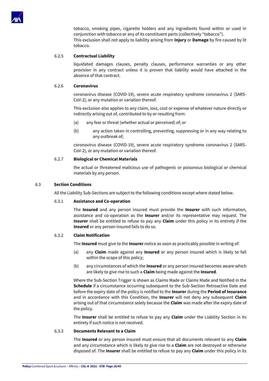

tobacco, smoking pipes, cigarette holders and any ingredients found within or used in conjunction with tobacco or any of its constituent parts (collectively "tobacco"). This exclusion shall not apply to liability arising from **Injury** or **Damage** by fire caused by lit tobacco.

# 6.2.5 **Contractual Liability**

liquidated damages clauses, penalty clauses, performance warranties or any other provision in any contract unless it is proven that liability would have attached in the absence of that contract.

# 6.2.6 **Coronavirus**

coronavirus disease (COVID-19), severe acute respiratory syndrome coronavirus 2 (SARS-CoV-2), or any mutation or variation thereof.

This exclusion also applies to any claim, loss, cost or expense of whatever nature directly or indirectly arising out of, contributed to by or resulting from:

- (a) any fear or threat (whether actual or perceived) of; or
- (b) any action taken in controlling, preventing, suppressing or in any way relating to any outbreak of;

coronavirus disease (COVID-19), severe acute respiratory syndrome coronavirus 2 (SARS-CoV-2), or any mutation or variation thereof.

# 6.2.7 **Biological or Chemical Materials**

the actual or threatened malicious use of pathogenic or poisonous biological or chemical materials by any person.

# 6.3 **Section Conditions**

All the Liability Sub-Sections are subject to the following conditions except where stated below.

# 6.3.1 **Assistance and Co-operation**

The **Insured** and any person insured must provide the **Insurer** with such information, assistance and co-operation as the **Insurer** and/or its representative may request. The **Insurer** shall be entitled to refuse to pay any **Claim** under this policy in its entirety if the **Insured** or any person insured fails to do so.

# 6.3.2 **Claim Notification**

The **Insured** must give to the **Insurer** notice as soon as practicably possible in writing of:

- (a) any **Claim** made against any **Insured** or any person insured which is likely to fall within the scope of this policy;
- (b) any circumstances of which the **Insured** or any person insured becomes aware which are likely to give rise to such a **Claim** being made against the **Insured**.

Where the Sub-Section Trigger is shown as Claims Made or Claims Made and Notified in the **Schedule** if a circumstance occurring subsequent to the Sub-Section Retroactive Date and before the expiry date of the policy is notified to the **Insurer** during the **Period of Insurance** and in accordance with this Condition, the **Insurer** will not deny any subsequent **Claim** arising out of that circumstance solely because the **Claim** was made after the expiry date of the policy.

The **Insurer** shall be entitled to refuse to pay any **Claim** under the Liability Section in its entirety if such notice is not received.

# 6.3.3 **Documents Relevant to a Claim**

The **Insured** or any person insured must ensure that all documents relevant to any **Claim** and any circumstance which is likely to give rise to a **Claim** are not destroyed or otherwise disposed of. The **Insurer** shall be entitled to refuse to pay any **Claim** under this policy in its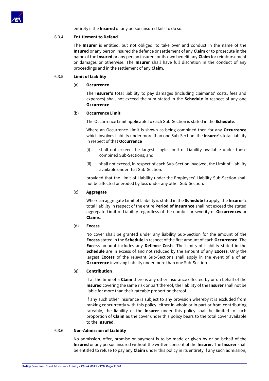

entirety if the **Insured** or any person insured fails to do so.

# 6.3.4 **Entitlement to Defend**

The **Insurer** is entitled, but not obliged, to take over and conduct in the name of the **Insured** or any person insured the defence or settlement of any **Claim** or to prosecute in the name of the **Insured** or any person insured for its own benefit any **Claim** for reimbursement or damages or otherwise. The **Insurer** shall have full discretion in the conduct of any proceedings and in the settlement of any **Claim**.

# 6.3.5 **Limit of Liability**

#### (a) **Occurrence**

The **Insurer's** total liability to pay damages (including claimants' costs, fees and expenses) shall not exceed the sum stated in the **Schedule** in respect of any one **Occurrence**.

#### (b) **Occurrence Limit**

The Occurrence Limit applicable to each Sub-Section is stated in the **Schedule**.

Where an Occurrence Limit is shown as being combined then for any **Occurrence** which involves liability under more than one Sub-Section, the **Insurer's** total liability in respect of that **Occurrence**

- (i) shall not exceed the largest single Limit of Liability available under those combined Sub-Sections; and
- (ii) shall not exceed, in respect of each Sub-Section involved, the Limit of Liability available under that Sub-Section.

provided that the Limit of Liability under the Employers' Liability Sub-Section shall not be affected or eroded by loss under any other Sub-Section.

#### (c) **Aggregate**

Where an aggregate Limit of Liability is stated in the **Schedule** to apply, the **Insurer's** total liability in respect of the entire **Period of Insurance** shall not exceed the stated aggregate Limit of Liability regardless of the number or severity of **Occurrences** or **Claims**.

#### (d) **Excess**

No cover shall be granted under any liability Sub-Section for the amount of the **Excess** stated in the **Schedule** in respect of the first amount of each **Occurrence**. The **Excess** amount includes any **Defence Costs**. The Limits of Liability stated in the **Schedule** are in excess of and not reduced by the amount of any **Excess**. Only the largest **Excess** of the relevant Sub-Sections shall apply in the event of a of an **Occurrence** involving liability under more than one Sub-Section.

#### (e) **Contribution**

If at the time of a **Claim** there is any other insurance effected by or on behalf of the **Insured** covering the same risk or part thereof, the liability of the **Insurer** shall not be liable for more than their rateable proportion thereof.

If any such other insurance is subject to any provision whereby it is excluded from ranking concurrently with this policy, either in whole or in part or from contributing rateably, the liability of the **Insurer** under this policy shall be limited to such proportion of **Claim** as the cover under this policy bears to the total cover available to the **Insured**.

# 6.3.6 **Non-Admission of Liability**

No admission, offer, promise or payment is to be made or given by or on behalf of the **Insured** or any person insured without the written consent of the **Insurer**. The **Insurer** shall be entitled to refuse to pay any **Claim** under this policy in its entirety if any such admission,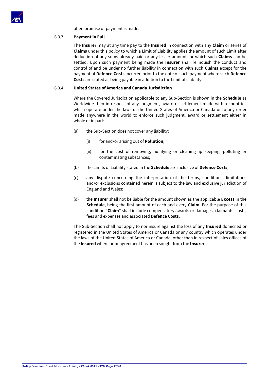

offer, promise or payment is made.

# 6.3.7 **Payment in Full**

The **Insurer** may at any time pay to the **Insured** in connection with any **Claim** or series of **Claims** under this policy to which a Limit of Liability applies the amount of such Limit after deduction of any sums already paid or any lesser amount for which such **Claims** can be settled. Upon such payment being made the **Insurer** shall relinquish the conduct and control of and be under no further liability in connection with such **Claims** except for the payment of **Defence Costs** incurred prior to the date of such payment where such **Defence Costs** are stated as being payable in addition to the Limit of Liability.

# 6.3.4 **United States of America and Canada Jurisdiction**

Where the Covered Jurisdiction applicable to any Sub-Section is shown in the **Schedule** as Worldwide then in respect of any judgment, award or settlement made within countries which operate under the laws of the United States of America or Canada or to any order made anywhere in the world to enforce such judgment, award or settlement either in whole or in part:

- (a) the Sub-Section does not cover any liability:
	- (i) for and/or arising out of **Pollution**;
	- (ii) for the cost of removing, nullifying or cleaning-up seeping, polluting or contaminating substances;
- (b) the Limits of Liability stated in the **Schedule** are inclusive of **Defence Costs**;
- (c) any dispute concerning the interpretation of the terms, conditions, limitations and/or exclusions contained herein is subject to the law and exclusive jurisdiction of England and Wales;
- (d) the **Insurer** shall not be liable for the amount shown as the applicable **Excess** in the **Schedule**, being the first amount of each and every **Claim**. For the purpose of this condition "**Claim**" shall include compensatory awards or damages, claimants' costs, fees and expenses and associated **Defence Costs**.

The Sub-Section shall not apply to nor insure against the loss of any **Insured** domiciled or registered in the United States of America or Canada or any country which operates under the laws of the United States of America or Canada, other than in respect of sales offices of the **Insured** where prior agreement has been sought from the **Insurer**.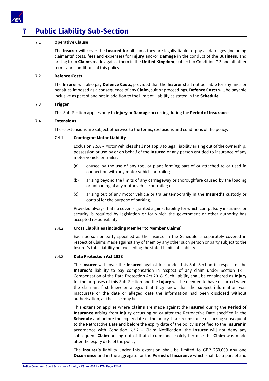

# <span id="page-22-0"></span>**7 Public Liability Sub-Section**

# 7.1 **Operative Clause**

The **Insurer** will cover the **Insured** for all sums they are legally liable to pay as damages (including claimants' costs, fees and expenses) for **Injury** and/or **Damage** in the conduct of the **Business**, and arising from **Claims** made against them in the **United Kingdom**, subject to Condition 7.3 and all other terms and conditions of this policy.

# 7.2 **Defence Costs**

The **Insurer** will also pay **Defence Costs**, provided that the **Insurer** shall not be liable for any fines or penalties imposed as a consequence of any **Claim**, suit or proceedings. **Defence Costs** will be payable inclusive as part of and not in addition to the Limit of Liability as stated in the **Schedule**.

# 7.3 **Trigger**

This Sub-Section applies only to **Injury** or **Damage** occurring during the **Period of Insurance**.

# 7.4 **Extensions**

These extensions are subject otherwise to the terms, exclusions and conditions of the policy.

# 7.4.1 **Contingent Motor Liability**

Exclusion 7.5.8 – Motor Vehicles shall not apply to legal liability arising out of the ownership, possession or use by or on behalf of the **Insured** or any person entitled to insurance of any motor vehicle or trailer:

- (a) caused by the use of any tool or plant forming part of or attached to or used in connection with any motor vehicle or trailer;
- (b) arising beyond the limits of any carriageway or thoroughfare caused by the loading or unloading of any motor vehicle or trailer; or
- (c) arising out of any motor vehicle or trailer temporarily in the **Insured's** custody or control for the purpose of parking.

Provided always that no cover is granted against liability for which compulsory insurance or security is required by legislation or for which the government or other authority has accepted responsibility;

# 7.4.2 **Cross Liabilities (including Member to Member Claims)**

Each person or party specified as the Insured in the Schedule is separately covered in respect of Claims made against any of them by any other such person or party subject to the Insurer's total liability not exceeding the stated Limits of Liability.

# 7.4.3 **Data Protection Act 2018**

The **Insurer** will cover the **Insured** against loss under this Sub-Section in respect of the **Insured's** liability to pay compensation in respect of any claim under Section 13 – Compensation of the Data Protection Act 2018. Such liability shall be considered as **Injury** for the purposes of this Sub-Section and the **Injury** will be deemed to have occurred when the claimant first knew or alleges that they knew that the subject information was inaccurate or the date or alleged date the information had been disclosed without authorisation, as the case may be.

This extension applies where **Claims** are made against the **Insured** during the **Period of Insurance** arising from **Injury** occurring on or after the Retroactive Date specified in the **Schedule** and before the expiry date of the policy. If a circumstance occurring subsequent to the Retroactive Date and before the expiry date of the policy is notified to the **Insurer** in accordance with Condition 6.3.2 – Claim Notification, the **Insurer** will not deny any subsequent **Claim** arising out of that circumstance solely because the **Claim** was made after the expiry date of the policy.

The **Insurer's** liability under this extension shall be limited to GBP 250,000 any one **Occurrence** and in the aggregate for the **Period of Insurance** which shall be a part of and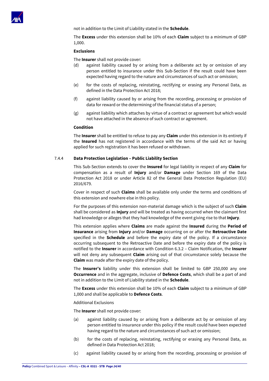

not in addition to the Limit of Liability stated in the **Schedule**.

The **Excess** under this extension shall be 10% of each **Claim** subject to a minimum of GBP 1,000.

#### **Exclusions**

The **Insurer** shall not provide cover:

- (d) against liability caused by or arising from a deliberate act by or omission of any person entitled to insurance under this Sub-Section if the result could have been expected having regard to the nature and circumstances of such act or omission;
- (e) for the costs of replacing, reinstating, rectifying or erasing any Personal Data, as defined in the Data Protection Act 2018;
- (f) against liability caused by or arising from the recording, processing or provision of data for reward or the determining of the financial status of a person;
- (g) against liability which attaches by virtue of a contract or agreement but which would not have attached in the absence of such contract or agreement.

#### **Condition**

The **Insurer** shall be entitled to refuse to pay any **Claim** under this extension in its entirety if the **Insured** has not registered in accordance with the terms of the said Act or having applied for such registration it has been refused or withdrawn.

#### 7.4.4 **Data Protection Legislation – Public Liability Section**

This Sub-Section extends to cover the **Insured** for legal liability in respect of any **Claim** for compensation as a result of **Injury** and/or **Damage** under Section 169 of the Data Protection Act 2018 or under Article 82 of the General Data Protection Regulation (EU) 2016/679.

Cover in respect of such **Claims** shall be available only under the terms and conditions of this extension and nowhere else in this policy.

For the purposes of this extension non-material damage which is the subject of such **Claim** shall be considered as **Injury** and will be treated as having occurred when the claimant first had knowledge or alleges that they had knowledge of the event giving rise to that **Injury**.

This extension applies where **Claims** are made against the **Insured** during the **Period of Insurance** arising from **Injury** and/or **Damage** occurring on or after the **Retroactive Date** specified in the **Schedule** and before the expiry date of the policy. If a circumstance occurring subsequent to the Retroactive Date and before the expiry date of the policy is notified to the **Insurer** in accordance with Condition 6.3.2 – Claim Notification, the **Insurer** will not deny any subsequent **Claim** arising out of that circumstance solely because the **Claim** was made after the expiry date of the policy.

The **Insurer's** liability under this extension shall be limited to GBP 250,000 any one **Occurrence** and in the aggregate, inclusive of **Defence Costs**, which shall be a part of and not in addition to the Limit of Liability stated in the **Schedule**.

The **Excess** under this extension shall be 10% of each **Claim** subject to a minimum of GBP 1,000 and shall be applicable to **Defence Costs**.

Additional Exclusions

The **Insurer** shall not provide cover:

- (a) against liability caused by or arising from a deliberate act by or omission of any person entitled to insurance under this policy if the result could have been expected having regard to the nature and circumstances of such act or omission;
- (b) for the costs of replacing, reinstating, rectifying or erasing any Personal Data, as defined in Data Protection Act 2018;
- (c) against liability caused by or arising from the recording, processing or provision of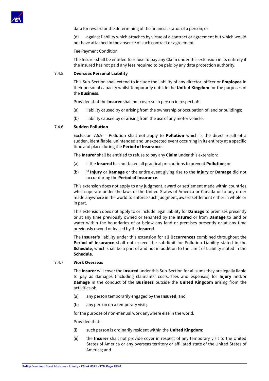

data for reward or the determining of the financial status of a person; or

(d) against liability which attaches by virtue of a contract or agreement but which would not have attached in the absence of such contract or agreement.

#### Fee Payment Condition

The Insurer shall be entitled to refuse to pay any Claim under this extension in its entirety if the Insured has not paid any fees required to be paid by any data protection authority.

# 7.4.5 **Overseas Personal Liability**

This Sub-Section shall extend to include the liability of any director, officer or **Employee** in their personal capacity whilst temporarily outside the **United Kingdom** for the purposes of the **Business**.

Provided that the **Insurer** shall not cover such person in respect of:

- (a) liability caused by or arising from the ownership or occupation of land or buildings;
- (b) liability caused by or arising from the use of any motor vehicle.

#### 7.4.6 **Sudden Pollution**

Exclusion 7.5.9 – Pollution shall not apply to **Pollution** which is the direct result of a sudden, identifiable, unintended and unexpected event occurring in its entirety at a specific time and place during the **Period of Insurance**.

The **Insurer** shall be entitled to refuse to pay any **Claim** under this extension:

- (a) if the **Insured** has not taken all practical precautions to prevent **Pollution**; or
- (b) if **Injury** or **Damage** or the entire event giving rise to the **Injury** or **Damage** did not occur during the **Period of Insurance**.

This extension does not apply to any judgment, award or settlement made within countries which operate under the laws of the United States of America or Canada or to any order made anywhere in the world to enforce such judgment, award settlement either in whole or in part.

This extension does not apply to or include legal liability for **Damage** to premises presently or at any time previously owned or tenanted by the **Insured** or from **Damage** to land or water within the boundaries of or below any land or premises presently or at any time previously owned or leased by the **Insured**.

The **Insurer's** liability under this extension for all **Occurrences** combined throughout the **Period of Insurance** shall not exceed the sub-limit for Pollution Liability stated in the **Schedule**, which shall be a part of and not in addition to the Limit of Liability stated in the **Schedule**.

#### 7.4.7 **Work Overseas**

The **Insurer** will cover the **Insured** under this Sub-Section for all sums they are legally liable to pay as damages (including claimants' costs, fees and expenses) for **Injury** and/or **Damage** in the conduct of the **Business** outside the **United Kingdom** arising from the activities of:

- (a) any person temporarily engaged by the **Insured**; and
- (b) any person on a temporary visit;

for the purpose of non-manual work anywhere else in the world.

Provided that:

- (i) such person is ordinarily resident within the **United Kingdom**;
- (ii) the **Insurer** shall not provide cover in respect of any temporary visit to the United States of America or any overseas territory or affiliated state of the United States of America; and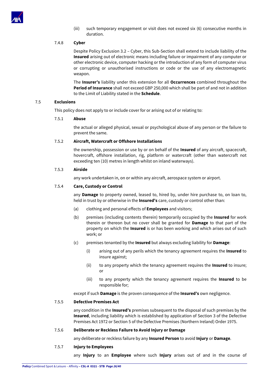

(iii) such temporary engagement or visit does not exceed six (6) consecutive months in duration.

# 7.4.8 **Cyber**

Despite Policy Exclusion 3.2 – Cyber, this Sub-Section shall extend to include liability of the **Insured** arising out of electronic means including failure or impairment of any computer or other electronic device, computer hacking or the introduction of any form of computer virus or corrupting or unauthorised instructions or code or the use of any electromagnetic weapon.

The **Insurer's** liability under this extension for all **Occurrences** combined throughout the **Period of Insurance** shall not exceed GBP 250,000 which shall be part of and not in addition to the Limit of Liability stated in the **Schedule**.

# 7.5 **Exclusions**

This policy does not apply to or include cover for or arising out of or relating to:

# 7.5.1 **Abuse**

the actual or alleged physical, sexual or psychological abuse of any person or the failure to prevent the same.

# 7.5.2 **Aircraft, Watercraft or Offshore Installations**

the ownership, possession or use by or on behalf of the **Insured** of any aircraft, spacecraft, hovercraft, offshore installation, rig, platform or watercraft (other than watercraft not exceeding ten (10) metres in length whilst on inland waterways).

# 7.5.3 **Airside**

any work undertaken in, on or within any aircraft, aerospace system or airport.

# 7.5.4 **Care, Custody or Control**

any **Damage** to property owned, leased to, hired by, under hire purchase to, on loan to, held in trust by or otherwise in the **Insured's** care, custody or control other than:

- (a) clothing and personal effects of **Employees** and visitors;
- (b) premises (including contents therein) temporarily occupied by the **Insured** for work therein or thereon but no cover shall be granted for **Damage** to that part of the property on which the **Insured** is or has been working and which arises out of such work; or
- (c) premises tenanted by the **Insured** but always excluding liability for **Damage**:
	- (i) arising out of any perils which the tenancy agreement requires the **Insured** to insure against;
	- (ii) to any property which the tenancy agreement requires the **Insured** to insure; or
	- (iii) to any property which the tenancy agreement requires the **Insured** to be responsible for;

except if such **Damage** is the proven consequence of the **Insured's** own negligence.

# 7.5.5 **Defective Premises Act**

any condition in the **Insured's** premises subsequent to the disposal of such premises by the **Insured**, including liability which is established by application of Section 3 of the Defective Premises Act 1972 or Section 5 of the Defective Premises (Northern Ireland) Order 1975.

# 7.5.6 **Deliberate or Reckless Failure to Avoid Injury or Damage**

any deliberate or reckless failure by any **Insured Person** to avoid **Injury** or **Damage**.

# 7.5.7 **Injury to Employees**

any **Injury** to an **Employee** where such **Injury** arises out of and in the course of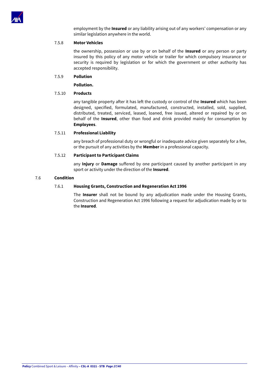

employment by the **Insured** or any liability arising out of any workers' compensation or any similar legislation anywhere in the world.

# 7.5.8 **Motor Vehicles**

the ownership, possession or use by or on behalf of the **Insured** or any person or party insured by this policy of any motor vehicle or trailer for which compulsory insurance or security is required by legislation or for which the government or other authority has accepted responsibility.

# 7.5.9 **Pollution**

**Pollution.**

# 7.5.10 **Products**

any tangible property after it has left the custody or control of the **Insured** which has been designed, specified, formulated, manufactured, constructed, installed, sold, supplied, distributed, treated, serviced, leased, loaned, free issued, altered or repaired by or on behalf of the **Insured**, other than food and drink provided mainly for consumption by **Employees**.

# 7.5.11 **Professional Liability**

any breach of professional duty or wrongful or inadequate advice given separately for a fee, or the pursuit of any activities by the **Member** in a professional capacity.

# 7.5.12 **Participant to Participant Claims**

any **Injury** or **Damage** suffered by one participant caused by another participant in any sport or activity under the direction of the **Insured**.

# 7.6 **Condition**

# 7.6.1 **Housing Grants, Construction and Regeneration Act 1996**

The **Insurer** shall not be bound by any adjudication made under the Housing Grants, Construction and Regeneration Act 1996 following a request for adjudication made by or to the **Insured**.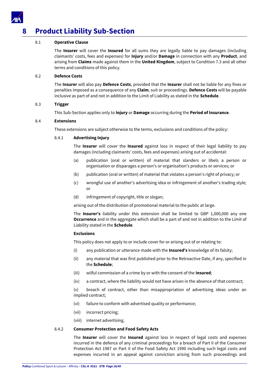

# <span id="page-27-0"></span>**8 Product Liability Sub-Section**

# 8.1 **Operative Clause**

The **Insurer** will cover the **Insured** for all sums they are legally liable to pay damages (including claimants' costs, fees and expenses) for **Injury** and/or **Damage** in connection with any **Product**, and arising from **Claims** made against them in the **United Kingdom**, subject to Condition 7.3 and all other terms and conditions of this policy.

# 8.2 **Defence Costs**

The **Insurer** will also pay **Defence Costs**, provided that the **Insurer** shall not be liable for any fines or penalties imposed as a consequence of any **Claim**, suit or proceedings. **Defence Costs** will be payable inclusive as part of and not in addition to the Limit of Liability as stated in the **Schedule**.

# 8.3 **Trigger**

This Sub-Section applies only to **Injury** or **Damage** occurring during the **Period of Insurance**.

# 8.4 **Extensions**

These extensions are subject otherwise to the terms, exclusions and conditions of the policy:

# 8.4.1 **Advertising Injury**

The **Insurer** will cover the **Insured** against loss in respect of their legal liability to pay damages (including claimants' costs, fees and expenses) arising out of accidental:

- (a) publication (oral or written) of material that slanders or libels a person or organisation or disparages a person's or organisation's products or services; or
- (b) publication (oral or written) of material that violates a person's right of privacy; or
- (c) wrongful use of another's advertising idea or infringement of another's trading style; or
- (d) infringement of copyright, title or slogan;

arising out of the distribution of promotional material to the public at large.

The **Insurer's** liability under this extension shall be limited to GBP 1,000,000 any one **Occurrence** and in the aggregate which shall be a part of and not in addition to the Limit of Liability stated in the **Schedule**.

# **Exclusions**

This policy does not apply to or include cover for or arising out of or relating to:

- (i) any publication or utterance made with the **Insured's** knowledge of its falsity;
- (ii) any material that was first published prior to the Retroactive Date, if any, specified in the **Schedule**;
- (iii) wilful commission of a crime by or with the consent of the **Insured**;
- (iv) a contract, where the liability would not have arisen in the absence of that contract;

(v) breach of contract, other than misappropriation of advertising ideas under an implied contract;

- (vi) failure to conform with advertised quality or performance;
- (vii) incorrect pricing;
- (viii) internet advertising.

# 8.4.2 **Consumer Protection and Food Safety Acts**

The **Insurer** will cover the **Insured** against loss in respect of legal costs and expenses incurred in the defence of any criminal proceedings for a breach of Part II of the Consumer Protection Act 1987 or Part II of the Food Safety Act 1990 including such legal costs and expenses incurred in an appeal against conviction arising from such proceedings and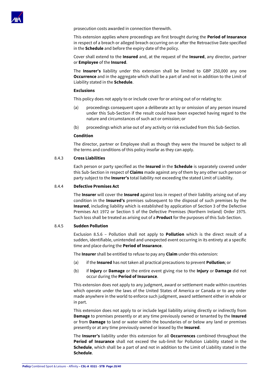

prosecution costs awarded in connection therewith.

This extension applies where proceedings are first brought during the **Period of Insurance** in respect of a breach or alleged breach occurring on or after the Retroactive Date specified in the **Schedule** and before the expiry date of the policy.

Cover shall extend to the **Insured** and, at the request of the **Insured**, any director, partner or **Employee** of the **Insured**.

The **Insurer's** liability under this extension shall be limited to GBP 250,000 any one **Occurrence** and in the aggregate which shall be a part of and not in addition to the Limit of Liability stated in the **Schedule**.

#### **Exclusions**

This policy does not apply to or include cover for or arising out of or relating to:

- (a) proceedings consequent upon a deliberate act by or omission of any person insured under this Sub-Section if the result could have been expected having regard to the nature and circumstances of such act or omission; or
- (b) proceedings which arise out of any activity or risk excluded from this Sub-Section.

## **Condition**

The director, partner or Employee shall as though they were the Insured be subject to all the terms and conditions of this policy insofar as they can apply.

# 8.4.3 **Cross Liabilities**

Each person or party specified as the **Insured** in the **Schedule** is separately covered under this Sub-Section in respect of **Claims** made against any of them by any other such person or party subject to the **Insurer's** total liability not exceeding the stated Limit of Liability.

#### 8.4.4 **Defective Premises Act**

The **Insurer** will cover the **Insured** against loss in respect of their liability arising out of any condition in the **Insured's** premises subsequent to the disposal of such premises by the **Insured**, including liability which is established by application of Section 3 of the Defective Premises Act 1972 or Section 5 of the Defective Premises (Northern Ireland) Order 1975. Such loss shall be treated as arising out of a **Product** for the purposes of this Sub-Section.

# 8.4.5 **Sudden Pollution**

Exclusion 8.5.6 – Pollution shall not apply to **Pollution** which is the direct result of a sudden, identifiable, unintended and unexpected event occurring in its entirety at a specific time and place during the **Period of Insurance**.

The **Insurer** shall be entitled to refuse to pay any **Claim** under this extension:

- (a) if the **Insured** has not taken all practical precautions to prevent **Pollution**; or
- (b) if **Injury** or **Damage** or the entire event giving rise to the **Injury** or **Damage** did not occur during the **Period of Insurance**.

This extension does not apply to any judgment, award or settlement made within countries which operate under the laws of the United States of America or Canada or to any order made anywhere in the world to enforce such judgment, award settlement either in whole or in part.

This extension does not apply to or include legal liability arising directly or indirectly from **Damage** to premises presently or at any time previously owned or tenanted by the **Insured** or from **Damage** to land or water within the boundaries of or below any land or premises presently or at any time previously owned or leased by the **Insured**.

The **Insurer's** liability under this extension for all **Occurrences** combined throughout the **Period of Insurance** shall not exceed the sub-limit for Pollution Liability stated in the **Schedule**, which shall be a part of and not in addition to the Limit of Liability stated in the **Schedule**.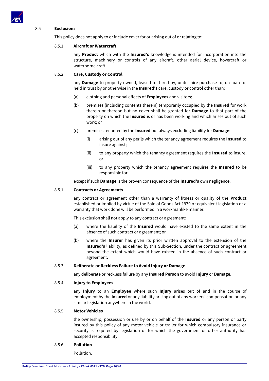

# 8.5 **Exclusions**

This policy does not apply to or include cover for or arising out of or relating to:

# 8.5.1 **Aircraft or Watercraft**

any **Product** which with the **Insured's** knowledge is intended for incorporation into the structure, machinery or controls of any aircraft, other aerial device, hovercraft or waterborne craft.

## 8.5.2 **Care, Custody or Control**

any **Damage** to property owned, leased to, hired by, under hire purchase to, on loan to, held in trust by or otherwise in the **Insured's** care, custody or control other than:

- (a) clothing and personal effects of **Employees** and visitors;
- (b) premises (including contents therein) temporarily occupied by the **Insured** for work therein or thereon but no cover shall be granted for **Damage** to that part of the property on which the **Insured** is or has been working and which arises out of such work; or
- (c) premises tenanted by the **Insured** but always excluding liability for **Damage**:
	- (i) arising out of any perils which the tenancy agreement requires the **Insured** to insure against;
	- (ii) to any property which the tenancy agreement requires the **Insured** to insure; or
	- (iii) to any property which the tenancy agreement requires the **Insured** to be responsible for;

except if such **Damage** is the proven consequence of the **Insured's** own negligence.

# 8.5.1 **Contracts or Agreements**

any contract or agreement other than a warranty of fitness or quality of the **Product** established or implied by virtue of the Sale of Goods Act 1979 or equivalent legislation or a warranty that work done will be performed in a workmanlike manner.

This exclusion shall not apply to any contract or agreement:

- (a) where the liability of the **Insured** would have existed to the same extent in the absence of such contract or agreement; or
- (b) where the **Insurer** has given its prior written approval to the extension of the **Insured's** liability, as defined by this Sub-Section, under the contract or agreement beyond the extent which would have existed in the absence of such contract or agreement.

#### 8.5.3 **Deliberate or Reckless Failure to Avoid Injury or Damage**

any deliberate or reckless failure by any **Insured Person** to avoid **Injury** or **Damage**.

#### 8.5.4 **Injury to Employees**

any **Injury** to an **Employee** where such **Injury** arises out of and in the course of employment by the **Insured** or any liability arising out of any workers' compensation or any similar legislation anywhere in the world.

# 8.5.5 **Motor Vehicles**

the ownership, possession or use by or on behalf of the **Insured** or any person or party insured by this policy of any motor vehicle or trailer for which compulsory insurance or security is required by legislation or for which the government or other authority has accepted responsibility.

# 8.5.6 **Pollution**

Pollution.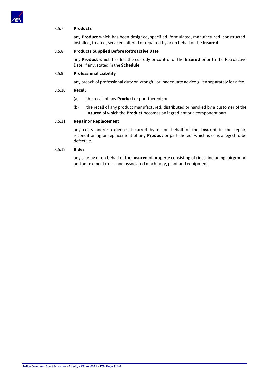

# 8.5.7 **Products**

any **Product** which has been designed, specified, formulated, manufactured, constructed, installed, treated, serviced, altered or repaired by or on behalf of the **Insured**.

# 8.5.8 **Products Supplied Before Retroactive Date**

any **Product** which has left the custody or control of the **Insured** prior to the Retroactive Date, if any, stated in the **Schedule**.

# 8.5.9 **Professional Liability**

any breach of professional duty or wrongful or inadequate advice given separately for a fee.

# 8.5.10 **Recall**

- (a) the recall of any **Product** or part thereof; or
- (b) the recall of any product manufactured, distributed or handled by a customer of the **Insured** of which the **Product** becomes an ingredient or a component part.

# 8.5.11 **Repair or Replacement**

any costs and/or expenses incurred by or on behalf of the **Insured** in the repair, reconditioning or replacement of any **Product** or part thereof which is or is alleged to be defective.

# 8.5.12 **Rides**

any sale by or on behalf of the **Insured** of property consisting of rides, including fairground and amusement rides, and associated machinery, plant and equipment.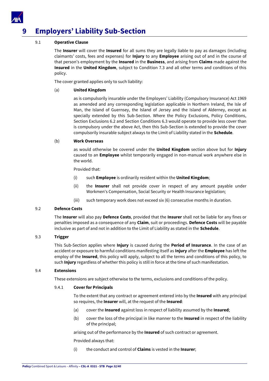

# <span id="page-31-0"></span>**9 Employers' Liability Sub-Section**

# 9.1 **Operative Clause**

The **Insurer** will cover the **Insured** for all sums they are legally liable to pay as damages (including claimants' costs, fees and expenses) for **Injury** to any **Employee** arising out of and in the course of that person's employment by the **Insured** in the **Business**, and arising from **Claims** made against the **Insured** in the **United Kingdom**, subject to Condition 7.3 and all other terms and conditions of this policy.

The cover granted applies only to such liability:

# (a) **United Kingdom**

as is compulsorily insurable under the Employers' Liability (Compulsory Insurance) Act 1969 as amended and any corresponding legislation applicable in Northern Ireland, the Isle of Man, the Island of Guernsey, the Island of Jersey and the Island of Alderney, except as specially extended by this Sub-Section. Where the Policy Exclusions, Policy Conditions, Section Exclusions 6.2 and Section Conditions 6.3 would operate to provide less cover than is compulsory under the above Act, then this Sub-Section is extended to provide the cover compulsorily insurable subject always to the Limit of Liability stated in the **Schedule**.

# (b) **Work Overseas**

as would otherwise be covered under the **United Kingdom** section above but for **Injury** caused to an **Employee** whilst temporarily engaged in non-manual work anywhere else in the world.

Provided that:

- (i) such **Employee** is ordinarily resident within the **United Kingdom**;
- (ii) the **Insurer** shall not provide cover in respect of any amount payable under Workmen's Compensation, Social Security or Health Insurance legislation;
- (iii) such temporary work does not exceed six (6) consecutive months in duration.

# 9.2 **Defence Costs**

The **Insurer** will also pay **Defence Costs**, provided that the **Insurer** shall not be liable for any fines or penalties imposed as a consequence of any **Claim**, suit or proceedings. **Defence Costs** will be payable inclusive as part of and not in addition to the Limit of Liability as stated in the **Schedule**.

# 9.3 **Trigger**

This Sub-Section applies where **Injury** is caused during the **Period of Insurance**. In the case of an accident or exposure to harmful conditions manifesting itself as **Injury** after the **Employee** has left the employ of the **Insured**, this policy will apply, subject to all the terms and conditions of this policy, to such **Injury** regardless of whether this policy is still in force at the time of such manifestation.

# 9.4 **Extensions**

These extensions are subject otherwise to the terms, exclusions and conditions of the policy.

# 9.4.1 **Cover for Principals**

To the extent that any contract or agreement entered into by the **Insured** with any principal so requires, the **Insurer** will, at the request of the **Insured**:

- (a) cover the **Insured** against loss in respect of liability assumed by the **Insured**;
- (b) cover the loss of the principal in like manner to the **Insured** in respect of the liability of the principal;

arising out of the performance by the **Insured** of such contract or agreement.

Provided always that:

(i) the conduct and control of **Claims** is vested in the **Insurer**;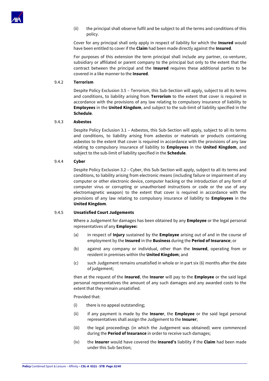

(ii) the principal shall observe fulfil and be subject to all the terms and conditions of this policy.

Cover for any principal shall only apply in respect of liability for which the **Insured** would have been entitled to cover if the **Claim** had been made directly against the **Insured**.

For purposes of this extension the term principal shall include any partner, co-venturer, subsidiary or affiliated or parent company to the principal but only to the extent that the contract between the principal and the **Insured** requires these additional parties to be covered in a like manner to the **Insured**.

# 9.4.2 **Terrorism**

Despite Policy Exclusion 3.5 – Terrorism, this Sub-Section will apply, subject to all its terms and conditions, to liability arising from **Terrorism** to the extent that cover is required in accordance with the provisions of any law relating to compulsory insurance of liability to **Employees** in the **United Kingdom**, and subject to the sub-limit of liability specified in the **Schedule**.

## 9.4.3 **Asbestos**

Despite Policy Exclusion 3.1 – Asbestos, this Sub-Section will apply, subject to all its terms and conditions, to liability arising from asbestos or materials or products containing asbestos to the extent that cover is required in accordance with the provisions of any law relating to compulsory insurance of liability to **Employees** in the **United Kingdom**, and subject to the sub-limit of liability specified in the **Schedule**.

# 9.4.4 **Cyber**

Despite Policy Exclusion 3.2 – Cyber, this Sub-Section will apply, subject to all its terms and conditions, to liability arising from electronic means (including failure or impairment of any computer or other electronic device, computer hacking or the introduction of any form of computer virus or corrupting or unauthorised instructions or code or the use of any electromagnetic weapon) to the extent that cover is required in accordance with the provisions of any law relating to compulsory insurance of liability to **Employees** in the **United Kingdom**.

# 9.4.5 **Unsatisfied Court Judgements**

Where a Judgement for damages has been obtained by any **Employee** or the legal personal representatives of any **Employee:**

- (a) in respect of **Injury** sustained by the **Employee** arising out of and in the course of employment by the **Insured** in the **Business** during the **Period of Insurance**; or
- (b) against any company or individual, other than the **Insured**, operating from or resident in premises within the **United Kingdom**; and
- (c) such Judgement remains unsatisfied in whole or in part six (6) months after the date of judgement;

then at the request of the **Insured**, the **Insurer** will pay to the **Employee** or the said legal personal representatives the amount of any such damages and any awarded costs to the extent that they remain unsatisfied.

#### Provided that:

- (i) there is no appeal outstanding;
- (ii) if any payment is made by the **Insurer**, the **Employee** or the said legal personal representatives shall assign the Judgement to the **Insurer**;
- (iii) the legal proceedings (in which the Judgement was obtained) were commenced during the **Period of Insurance** in order to receive such damages;
- (iv) the **Insurer** would have covered the **Insured's** liability if the **Claim** had been made under this Sub-Section;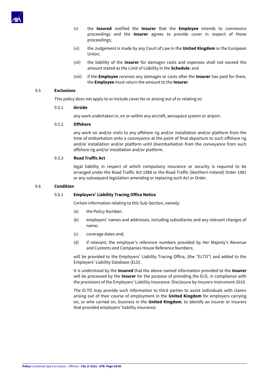

- (v) the **Insured** notified the **Insurer** that the **Employee** intends to commence proceedings and the **Insurer** agrees to provide cover in respect of those proceedings;
- (vi) the Judgement is made by any Court of Law in the **United Kingdom** or the European Union;
- (vii) the liability of the **Insurer** for damages costs and expenses shall not exceed the amount stated as the Limit of Liability in the **Schedule**; and
- (viii) if the **Employee** receives any damages or costs after the **Insurer** has paid for them, the **Employee** must return the amount to the **Insurer**.

# 9.5 **Exclusions**

This policy does not apply to or include cover for or arising out of or relating to:

# 9.5.1 **Airside**

any work undertaken in, on or within any aircraft, aerospace system or airport.

# 9.5.2 **Offshore**

any work on and/or visits to any offshore rig and/or installation and/or platform from the time of embarkation onto a conveyance at the point of final departure to such offshore rig and/or installation and/or platform until disembarkation from the conveyance from such offshore rig and/or installation and/or platform.

# 9.5.3 **Road Traffic Act**

legal liability in respect of which compulsory insurance or security is required to be arranged under the Road Traffic Act 1988 or the Road Traffic (Northern Ireland) Order 1981 or any subsequent legislation amending or replacing such Act or Order.

# 9.6 **Condition**

# 9.6.1 **Employers' Liability Tracing Office Notice**

Certain information relating to this Sub-Section, namely:

- (a) the Policy Number;
- (b) employers' names and addresses, including subsidiaries and any relevant changes of name;
- (c) coverage dates and;
- (d) if relevant, the employer's reference numbers provided by Her Majesty's Revenue and Customs and Companies House Reference Numbers;

will be provided to the Employers' Liability Tracing Office, (the "ELTO") and added to the Employers' Liability Database (ELD).

It is understood by the **Insured** that the above named information provided to the **Insurer** will be processed by the **Insurer** for the purpose of providing the ELD, in compliance with the provisions of the Employers' Liability Insurance: Disclosure by Insurers Instrument 2010.

The ELTO may provide such information to third parties to assist individuals with claims arising out of their course of employment in the **United Kingdom** for employers carrying on, or who carried on, business in the **United Kingdom**, to identify an insurer or insurers that provided employers' liability insurance.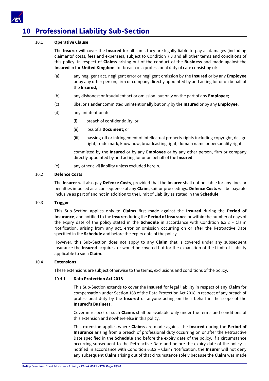

# <span id="page-34-0"></span>**10 Professional Liability Sub-Section**

# 10.1 **Operative Clause**

The **Insurer** will cover the **Insured** for all sums they are legally liable to pay as damages (including claimants' costs, fees and expenses), subject to Condition 7.3 and all other terms and conditions of this policy, in respect of **Claims** arising out of the conduct of the **Business** and made against the **Insured** in the **United Kingdom**, for breach of a professional duty of care consisting of:

- (a) any negligent act, negligent error or negligent omission by the **Insured** or by any **Employee** or by any other person, firm or company directly appointed by and acting for or on behalf of the **Insured**;
- (b) any dishonest or fraudulent act or omission, but only on the part of any **Employee**;
- (c) libel or slander committed unintentionally but only by the **Insured** or by any **Employee**;
- (d) any unintentional:
	- (i) breach of confidentiality; or
	- (ii) loss of a **Document**; or
	- (iii) passing-off or infringement of intellectual property rights including copyright, design right, trade mark, know how, broadcasting right, domain name or personality right;

committed by the **Insured** or by any **Employee** or by any other person, firm or company directly appointed by and acting for or on behalf of the **Insured**;

(e) any other civil liability unless excluded herein.

# 10.2 **Defence Costs**

The **Insurer** will also pay **Defence Costs**, provided that the **Insurer** shall not be liable for any fines or penalties imposed as a consequence of any **Claim**, suit or proceedings. **Defence Costs** will be payable inclusive as part of and not in addition to the Limit of Liability as stated in the **Schedule**.

# 10.3 **Trigger**

This Sub-Section applies only to **Claims** first made against the **Insured** during the **Period of Insurance**, and notified to the **Insurer** during the **Period of Insurance** or within the number of days of the expiry date of the policy stated in the **Schedule** in accordance with Condition 6.3.2 – Claim Notification, arising from any act, error or omission occurring on or after the Retroactive Date specified in the **Schedule** and before the expiry date of the policy.

However, this Sub-Section does not apply to any **Claim** that is covered under any subsequent insurance the **Insured** acquires, or would be covered but for the exhaustion of the Limit of Liability applicable to such **Claim**.

# 10.4 **Extensions**

These extensions are subject otherwise to the terms, exclusions and conditions of the policy.

# 10.4.1 **Data Protection Act 2018**

This Sub-Section extends to cover the **Insured** for legal liability in respect of any **Claim** for compensation under Section 168 of the Data Protection Act 2018 in respect of any breach of professional duty by the **Insured** or anyone acting on their behalf in the scope of the **Insured's Business**.

Cover in respect of such **Claims** shall be available only under the terms and conditions of this extension and nowhere else in this policy.

This extension applies where **Claims** are made against the **Insured** during the **Period of Insurance** arising from a breach of professional duty occurring on or after the Retroactive Date specified in the **Schedule** and before the expiry date of the policy. If a circumstance occurring subsequent to the Retroactive Date and before the expiry date of the policy is notified in accordance with Condition 6.3.2 – Claim Notification, the **Insurer** will not deny any subsequent **Claim** arising out of that circumstance solely because the **Claim** was made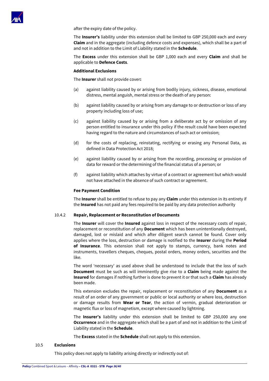

after the expiry date of the policy.

The **Insurer's** liability under this extension shall be limited to GBP 250,000 each and every **Claim** and in the aggregate (including defence costs and expenses), which shall be a part of and not in addition to the Limit of Liability stated in the **Schedule**.

The **Excess** under this extension shall be GBP 1,000 each and every **Claim** and shall be applicable to **Defence Costs**.

# **Additional Exclusions**

The **Insurer** shall not provide cover**:**

- (a) against liability caused by or arising from bodily injury, sickness, disease, emotional distress, mental anguish, mental stress or the death of any person:
- (b) against liability caused by or arising from any damage to or destruction or loss of any property including loss of use;
- (c) against liability caused by or arising from a deliberate act by or omission of any person entitled to insurance under this policy if the result could have been expected having regard to the nature and circumstances of such act or omission;
- (d) for the costs of replacing, reinstating, rectifying or erasing any Personal Data, as defined in Data Protection Act 2018;
- (e) against liability caused by or arising from the recording, processing or provision of data for reward or the determining of the financial status of a person; or
- (f) against liability which attaches by virtue of a contract or agreement but which would not have attached in the absence of such contract or agreement.

#### **Fee Payment Condition**

The **Insurer** shall be entitled to refuse to pay any **Claim** under this extension in its entirety if the **Insured** has not paid any fees required to be paid by any data protection authority

#### 10.4.2 **Repair, Replacement or Reconstitution of Documents**

The **Insurer** will cover the **Insured** against loss in respect of the necessary costs of repair, replacement or reconstitution of any **Document** which has been unintentionally destroyed, damaged, lost or mislaid and which after diligent search cannot be found. Cover only applies where the loss, destruction or damage is notified to the **Insurer** during the **Period of Insurance**. This extension shall not apply to stamps, currency, bank notes and instruments, travellers cheques, cheques, postal orders, money orders, securities and the like.

The word 'necessary' as used above shall be understood to include that the loss of such **Document** must be such as will imminently give rise to a **Claim** being made against the **Insured** for damages if nothing further is done to prevent it or that such a **Claim** has already been made.

This extension excludes the repair, replacement or reconstitution of any **Document** as a result of an order of any government or public or local authority or where loss, destruction or damage results from **Wear or Tear**, the action of vermin, gradual deterioration or magnetic flux or loss of magnetism, except where caused by lightning.

The **Insurer's** liability under this extension shall be limited to GBP 250,000 any one **Occurrence** and in the aggregate which shall be a part of and not in addition to the Limit of Liability stated in the **Schedule**.

The **Excess** stated in the **Schedule** shall not apply to this extension.

# 10.5 **Exclusions**

This policy does not apply to liability arising directly or indirectly out of: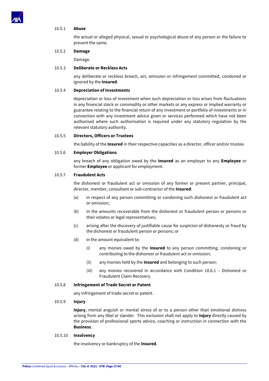

# 10.5.1 **Abuse**

the actual or alleged physical, sexual or psychological abuse of any person or the failure to prevent the same.

# 10.5.2 **Damage**

Damage.

# 10.5.3 **Deliberate or Reckless Acts**

any deliberate or reckless breach, act, omission or infringement committed, condoned or ignored by the **Insured**.

# 10.5.4 **Depreciation of Investments**

depreciation or loss of investment when such depreciation or loss arises from fluctuations in any financial stock or commodity or other markets or any express or implied warranty or guarantee relating to the financial return of any investment or portfolio of investments or in connection with any investment advice given or services performed which have not been authorised where such authorisation is required under any statutory regulation by the relevant statutory authority.

# 10.5.5 **Directors, Officers or Trustees**

the liability of the **Insured** in their respective capacities as a director, officer and/or trustee.

# 10.5.6 **Employer Obligations**

any breach of any obligation owed by the **Insured** as an employer to any **Employee** or former **Employee** or applicant for employment.

# 10.5.7 **Fraudulent Acts**

the dishonest or fraudulent act or omission of any former or present partner, principal, director, member, consultant or sub-contractor of the **Insured**:

- (a) in respect of any person committing or condoning such dishonest or fraudulent act or omission;
- (b) in the amounts recoverable from the dishonest or fraudulent person or persons or their estates or legal representatives;
- (c) arising after the discovery of justifiable cause for suspicion of dishonesty or fraud by the dishonest or fraudulent person or persons; or
- (d) in the amount equivalent to:
	- (i) any monies owed by the **Insured** to any person committing, condoning or contributing to the dishonest or fraudulent act or omission;
	- (ii) any monies held by the **Insured** and belonging to such person;
	- (iii) any monies recovered in accordance with Condition 10.6.1 Dishonest or Fraudulent Claim Recovery.

# 10.5.8 **Infringement of Trade Secret or Patent**

any infringement of trade secret or patent.

# 10.5.9 **Injury**

**Injury**, mental anguish or mental stress of or to a person other than emotional distress arising from any libel or slander. This exclusion shall not apply to **Injury** directly caused by the provision of professional sports advice, coaching or instruction in connection with the **Business**.

# 10.5.10 **Insolvency**

the insolvency or bankruptcy of the **Insured**.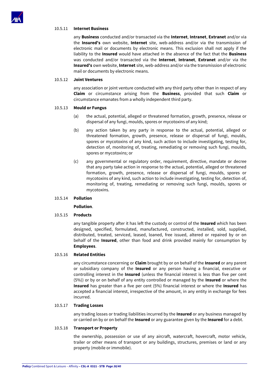

## 10.5.11 **Internet Business**

any **Business** conducted and/or transacted via the **Internet**, **Intranet**, **Extranet** and/or via the **Insured's** own website, **Internet** site, web-address and/or via the transmission of electronic mail or documents by electronic means. This exclusion shall not apply if the liability to the **Insured** would have attached in the absence of the fact that the **Business** was conducted and/or transacted via the **Internet**, **Intranet**, **Extranet** and/or via the **Insured's** own website, **Internet** site, web-address and/or via the transmission of electronic mail or documents by electronic means.

#### 10.5.12 **Joint Ventures**

any association or joint venture conducted with any third party other than in respect of any **Claim** or circumstance arising from the **Business**, provided that such **Claim** or circumstance emanates from a wholly independent third party.

#### 10.5.13 **Mould or Fungus**

- (a) the actual, potential, alleged or threatened formation, growth, presence, release or dispersal of any fungi, moulds, spores or mycotoxins of any kind;
- (b) any action taken by any party in response to the actual, potential, alleged or threatened formation, growth, presence, release or dispersal of fungi, moulds, spores or mycotoxins of any kind, such action to include investigating, testing for, detection of, monitoring of, treating, remediating or removing such fungi, moulds, spores or mycotoxins; or
- (c) any governmental or regulatory order, requirement, directive, mandate or decree that any party take action in response to the actual, potential, alleged or threatened formation, growth, presence, release or dispersal of fungi, moulds, spores or mycotoxins of any kind, such action to include investigating, testing for, detection of, monitoring of, treating, remediating or removing such fungi, moulds, spores or mycotoxins.

# 10.5.14 **Pollution**

**Pollution**.

# 10.5.15 **Products**

any tangible property after it has left the custody or control of the **Insured** which has been designed, specified, formulated, manufactured, constructed, installed, sold, supplied, distributed, treated, serviced, leased, loaned, free issued, altered or repaired by or on behalf of the **Insured**, other than food and drink provided mainly for consumption by **Employees**.

# 10.5.16 **Related Entities**

any circumstance concerning or **Claim** brought by or on behalf of the **Insured** or any parent or subsidiary company of the **Insured** or any person having a financial, executive or controlling interest in the **Insured** (unless the financial interest is less than five per cent (5%)) or by or on behalf of any entity controlled or managed by the **Insured** or where the **Insured** has greater than a five per cent (5%) financial interest or where the **Insured** has accepted a financial interest, irrespective of the amount, in any entity in exchange for fees incurred.

#### 10.5.17 **Trading Losses**

any trading losses or trading liabilities incurred by the **Insured** or any business managed by or carried on by or on behalf the **Insured** or any guarantee given by the **Insured** for a debt.

# 10.5.18 **Transport or Property**

the ownership, possession or use of any aircraft, watercraft, hovercraft, motor vehicle, trailer or other means of transport or any buildings, structures, premises or land or any property (mobile or immobile).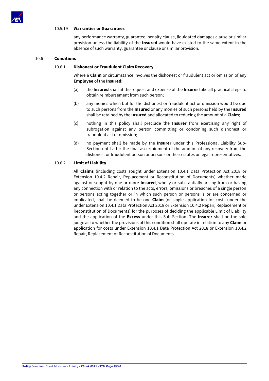

## 10.5.19 **Warranties or Guarantees**

any performance warranty, guarantee, penalty clause, liquidated damages clause or similar provision unless the liability of the **Insured** would have existed to the same extent in the absence of such warranty, guarantee or clause or similar provision.

# 10.6 **Conditions**

# 10.6.1 **Dishonest or Fraudulent Claim Recovery**

Where a **Claim** or circumstance involves the dishonest or fraudulent act or omission of any **Employee** of the **Insured**:

- (a) the **Insured** shall at the request and expense of the **Insurer** take all practical steps to obtain reimbursement from such person;
- (b) any monies which but for the dishonest or fraudulent act or omission would be due to such persons from the **Insured** or any monies of such persons held by the **Insured** shall be retained by the **Insured** and allocated to reducing the amount of a **Claim**;
- (c) nothing in this policy shall preclude the **Insurer** from exercising any right of subrogation against any person committing or condoning such dishonest or fraudulent act or omission;
- (d) no payment shall be made by the **Insurer** under this Professional Liability Sub-Section until after the final ascertainment of the amount of any recovery from the dishonest or fraudulent person or persons or their estates or legal representatives.

# 10.6.2 **Limit of Liability**

All **Claims** (including costs sought under Extension 10.4.1 Data Protection Act 2018 or Extension 10.4.2 Repair, Replacement or Reconstitution of Documents) whether made against or sought by one or more **Insured**, wholly or substantially arising from or having any connection with or relation to the acts, errors, omissions or breaches of a single person or persons acting together or in which such person or persons is or are concerned or implicated, shall be deemed to be one **Claim** (or single application for costs under the under Extension 10.4.1 Data Protection Act 2018 or Extension 10.4.2 Repair, Replacement or Reconstitution of Documents) for the purposes of deciding the applicable Limit of Liability and the application of the **Excess** under this Sub-Section. The **Insurer** shall be the sole judge as to whether the provisions of this condition shall operate in relation to any **Claim** or application for costs under Extension 10.4.1 Data Protection Act 2018 or Extension 10.4.2 Repair, Replacement or Reconstitution of Documents.